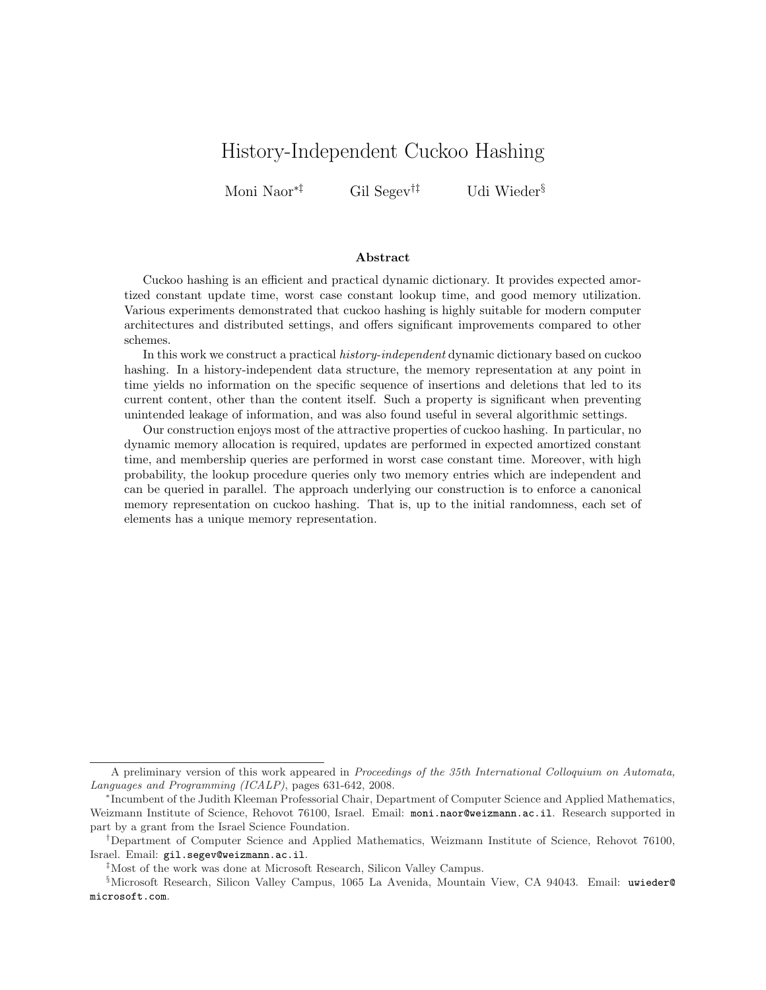# History-Independent Cuckoo Hashing

Moni Naor∗‡ Gil Segev†‡ Udi Wieder§

#### Abstract

Cuckoo hashing is an efficient and practical dynamic dictionary. It provides expected amortized constant update time, worst case constant lookup time, and good memory utilization. Various experiments demonstrated that cuckoo hashing is highly suitable for modern computer architectures and distributed settings, and offers significant improvements compared to other schemes.

In this work we construct a practical history-independent dynamic dictionary based on cuckoo hashing. In a history-independent data structure, the memory representation at any point in time yields no information on the specific sequence of insertions and deletions that led to its current content, other than the content itself. Such a property is significant when preventing unintended leakage of information, and was also found useful in several algorithmic settings.

Our construction enjoys most of the attractive properties of cuckoo hashing. In particular, no dynamic memory allocation is required, updates are performed in expected amortized constant time, and membership queries are performed in worst case constant time. Moreover, with high probability, the lookup procedure queries only two memory entries which are independent and can be queried in parallel. The approach underlying our construction is to enforce a canonical memory representation on cuckoo hashing. That is, up to the initial randomness, each set of elements has a unique memory representation.

A preliminary version of this work appeared in Proceedings of the 35th International Colloquium on Automata, Languages and Programming (ICALP), pages 631-642, 2008.

<sup>∗</sup> Incumbent of the Judith Kleeman Professorial Chair, Department of Computer Science and Applied Mathematics, Weizmann Institute of Science, Rehovot 76100, Israel. Email: [moni.naor@weizmann.ac.il](mailto:moni.naor@weizmann.ac.il). Research supported in part by a grant from the Israel Science Foundation.

<sup>†</sup>Department of Computer Science and Applied Mathematics, Weizmann Institute of Science, Rehovot 76100, Israel. Email: [gil.segev@weizmann.ac.il](mailto:gil.segev@weizmann.ac.il).

<sup>‡</sup>Most of the work was done at Microsoft Research, Silicon Valley Campus.

<sup>§</sup>Microsoft Research, Silicon Valley Campus, 1065 La Avenida, Mountain View, CA 94043. Email: [uwieder@](mailto:uwieder@microsoft.com) [microsoft.com](mailto:uwieder@microsoft.com).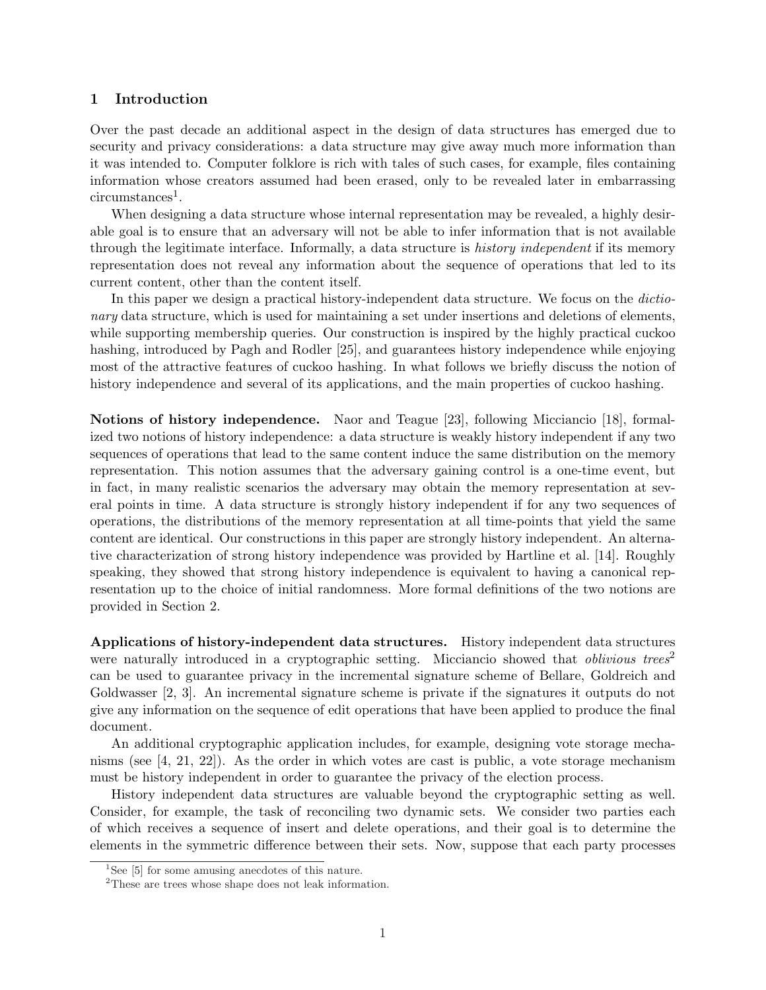## 1 Introduction

Over the past decade an additional aspect in the design of data structures has emerged due to security and privacy considerations: a data structure may give away much more information than it was intended to. Computer folklore is rich with tales of such cases, for example, files containing information whose creators assumed had been erased, only to be revealed later in embarrassing circumstances<sup>[1](#page-1-0)</sup>.

When designing a data structure whose internal representation may be revealed, a highly desirable goal is to ensure that an adversary will not be able to infer information that is not available through the legitimate interface. Informally, a data structure is history independent if its memory representation does not reveal any information about the sequence of operations that led to its current content, other than the content itself.

In this paper we design a practical history-independent data structure. We focus on the dictionary data structure, which is used for maintaining a set under insertions and deletions of elements, while supporting membership queries. Our construction is inspired by the highly practical cuckoo hashing, introduced by Pagh and Rodler [\[25\]](#page-16-0), and guarantees history independence while enjoying most of the attractive features of cuckoo hashing. In what follows we briefly discuss the notion of history independence and several of its applications, and the main properties of cuckoo hashing.

Notions of history independence. Naor and Teague [\[23\]](#page-16-1), following Micciancio [\[18\]](#page-16-2), formalized two notions of history independence: a data structure is weakly history independent if any two sequences of operations that lead to the same content induce the same distribution on the memory representation. This notion assumes that the adversary gaining control is a one-time event, but in fact, in many realistic scenarios the adversary may obtain the memory representation at several points in time. A data structure is strongly history independent if for any two sequences of operations, the distributions of the memory representation at all time-points that yield the same content are identical. Our constructions in this paper are strongly history independent. An alternative characterization of strong history independence was provided by Hartline et al. [\[14\]](#page-15-0). Roughly speaking, they showed that strong history independence is equivalent to having a canonical representation up to the choice of initial randomness. More formal definitions of the two notions are provided in Section [2.](#page-5-0)

Applications of history-independent data structures. History independent data structures were naturally introduced in a cryptographic setting. Micciancio showed that *oblivious trees*<sup>[2](#page-1-1)</sup> can be used to guarantee privacy in the incremental signature scheme of Bellare, Goldreich and Goldwasser [\[2,](#page-15-1) [3\]](#page-15-2). An incremental signature scheme is private if the signatures it outputs do not give any information on the sequence of edit operations that have been applied to produce the final document.

An additional cryptographic application includes, for example, designing vote storage mechanisms (see [\[4,](#page-15-3) [21,](#page-16-3) [22\]](#page-16-4)). As the order in which votes are cast is public, a vote storage mechanism must be history independent in order to guarantee the privacy of the election process.

History independent data structures are valuable beyond the cryptographic setting as well. Consider, for example, the task of reconciling two dynamic sets. We consider two parties each of which receives a sequence of insert and delete operations, and their goal is to determine the elements in the symmetric difference between their sets. Now, suppose that each party processes

<span id="page-1-0"></span><sup>&</sup>lt;sup>1</sup>See [\[5\]](#page-15-4) for some amusing anecdotes of this nature.

<span id="page-1-1"></span><sup>2</sup>These are trees whose shape does not leak information.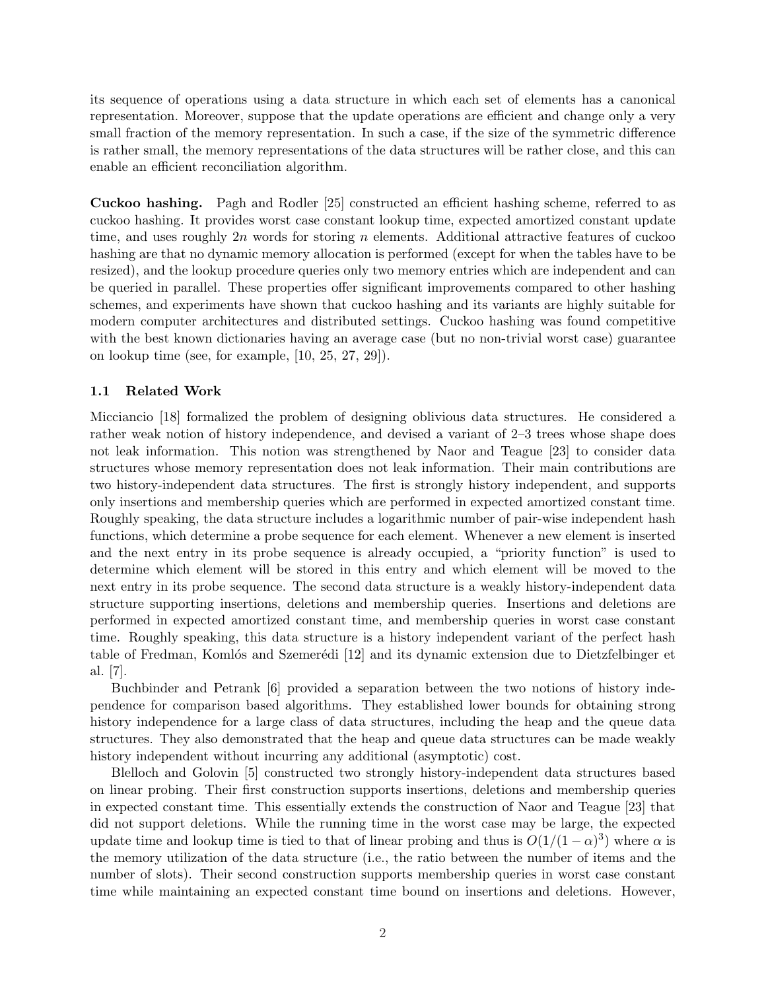its sequence of operations using a data structure in which each set of elements has a canonical representation. Moreover, suppose that the update operations are efficient and change only a very small fraction of the memory representation. In such a case, if the size of the symmetric difference is rather small, the memory representations of the data structures will be rather close, and this can enable an efficient reconciliation algorithm.

Cuckoo hashing. Pagh and Rodler [\[25\]](#page-16-0) constructed an efficient hashing scheme, referred to as cuckoo hashing. It provides worst case constant lookup time, expected amortized constant update time, and uses roughly  $2n$  words for storing n elements. Additional attractive features of cuckoo hashing are that no dynamic memory allocation is performed (except for when the tables have to be resized), and the lookup procedure queries only two memory entries which are independent and can be queried in parallel. These properties offer significant improvements compared to other hashing schemes, and experiments have shown that cuckoo hashing and its variants are highly suitable for modern computer architectures and distributed settings. Cuckoo hashing was found competitive with the best known dictionaries having an average case (but no non-trivial worst case) guarantee on lookup time (see, for example, [\[10,](#page-15-5) [25,](#page-16-0) [27,](#page-16-5) [29\]](#page-16-6)).

## <span id="page-2-0"></span>1.1 Related Work

Micciancio [\[18\]](#page-16-2) formalized the problem of designing oblivious data structures. He considered a rather weak notion of history independence, and devised a variant of 2–3 trees whose shape does not leak information. This notion was strengthened by Naor and Teague [\[23\]](#page-16-1) to consider data structures whose memory representation does not leak information. Their main contributions are two history-independent data structures. The first is strongly history independent, and supports only insertions and membership queries which are performed in expected amortized constant time. Roughly speaking, the data structure includes a logarithmic number of pair-wise independent hash functions, which determine a probe sequence for each element. Whenever a new element is inserted and the next entry in its probe sequence is already occupied, a "priority function" is used to determine which element will be stored in this entry and which element will be moved to the next entry in its probe sequence. The second data structure is a weakly history-independent data structure supporting insertions, deletions and membership queries. Insertions and deletions are performed in expected amortized constant time, and membership queries in worst case constant time. Roughly speaking, this data structure is a history independent variant of the perfect hash table of Fredman, Komlós and Szemerédi [\[12\]](#page-15-6) and its dynamic extension due to Dietzfelbinger et al. [\[7\]](#page-15-7).

Buchbinder and Petrank [\[6\]](#page-15-8) provided a separation between the two notions of history independence for comparison based algorithms. They established lower bounds for obtaining strong history independence for a large class of data structures, including the heap and the queue data structures. They also demonstrated that the heap and queue data structures can be made weakly history independent without incurring any additional (asymptotic) cost.

Blelloch and Golovin [\[5\]](#page-15-4) constructed two strongly history-independent data structures based on linear probing. Their first construction supports insertions, deletions and membership queries in expected constant time. This essentially extends the construction of Naor and Teague [\[23\]](#page-16-1) that did not support deletions. While the running time in the worst case may be large, the expected update time and lookup time is tied to that of linear probing and thus is  $O(1/(1-\alpha)^3)$  where  $\alpha$  is the memory utilization of the data structure (i.e., the ratio between the number of items and the number of slots). Their second construction supports membership queries in worst case constant time while maintaining an expected constant time bound on insertions and deletions. However,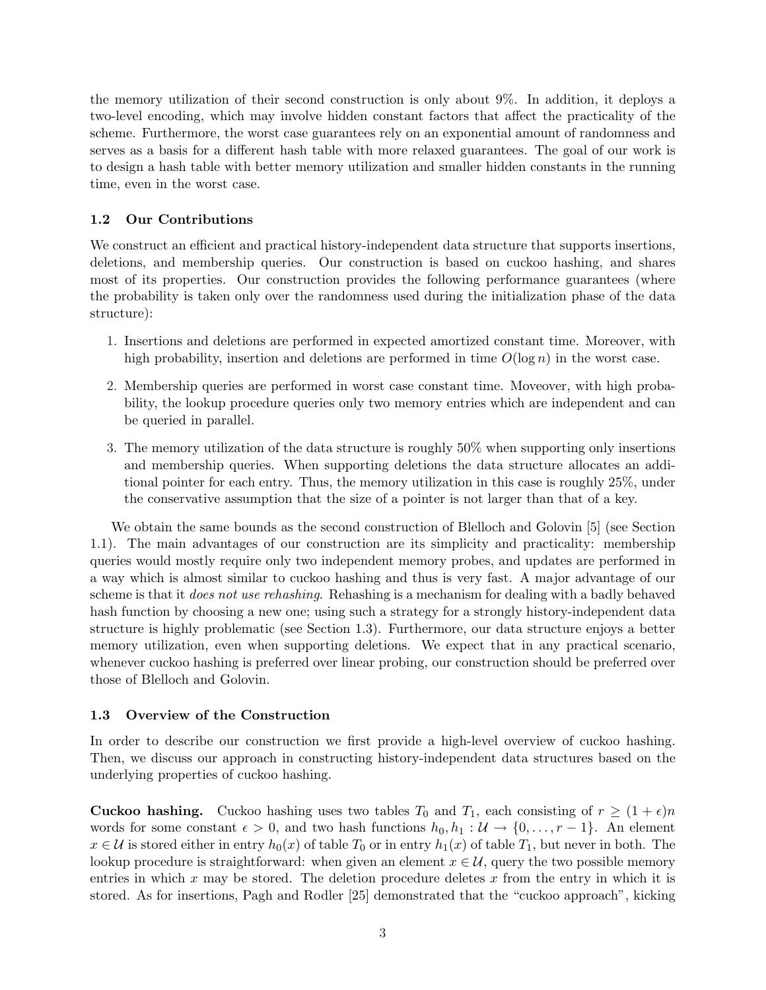the memory utilization of their second construction is only about 9%. In addition, it deploys a two-level encoding, which may involve hidden constant factors that affect the practicality of the scheme. Furthermore, the worst case guarantees rely on an exponential amount of randomness and serves as a basis for a different hash table with more relaxed guarantees. The goal of our work is to design a hash table with better memory utilization and smaller hidden constants in the running time, even in the worst case.

## 1.2 Our Contributions

We construct an efficient and practical history-independent data structure that supports insertions, deletions, and membership queries. Our construction is based on cuckoo hashing, and shares most of its properties. Our construction provides the following performance guarantees (where the probability is taken only over the randomness used during the initialization phase of the data structure):

- 1. Insertions and deletions are performed in expected amortized constant time. Moreover, with high probability, insertion and deletions are performed in time  $O(\log n)$  in the worst case.
- 2. Membership queries are performed in worst case constant time. Moveover, with high probability, the lookup procedure queries only two memory entries which are independent and can be queried in parallel.
- 3. The memory utilization of the data structure is roughly 50% when supporting only insertions and membership queries. When supporting deletions the data structure allocates an additional pointer for each entry. Thus, the memory utilization in this case is roughly 25%, under the conservative assumption that the size of a pointer is not larger than that of a key.

We obtain the same bounds as the second construction of Blelloch and Golovin [\[5\]](#page-15-4) (see Section [1.1\)](#page-2-0). The main advantages of our construction are its simplicity and practicality: membership queries would mostly require only two independent memory probes, and updates are performed in a way which is almost similar to cuckoo hashing and thus is very fast. A major advantage of our scheme is that it *does not use rehashing*. Rehashing is a mechanism for dealing with a badly behaved hash function by choosing a new one; using such a strategy for a strongly history-independent data structure is highly problematic (see Section [1.3\)](#page-3-0). Furthermore, our data structure enjoys a better memory utilization, even when supporting deletions. We expect that in any practical scenario, whenever cuckoo hashing is preferred over linear probing, our construction should be preferred over those of Blelloch and Golovin.

## <span id="page-3-0"></span>1.3 Overview of the Construction

In order to describe our construction we first provide a high-level overview of cuckoo hashing. Then, we discuss our approach in constructing history-independent data structures based on the underlying properties of cuckoo hashing.

**Cuckoo hashing.** Cuckoo hashing uses two tables  $T_0$  and  $T_1$ , each consisting of  $r \geq (1 + \epsilon)n$ words for some constant  $\epsilon > 0$ , and two hash functions  $h_0, h_1 : U \to \{0, \ldots, r-1\}$ . An element  $x \in \mathcal{U}$  is stored either in entry  $h_0(x)$  of table  $T_0$  or in entry  $h_1(x)$  of table  $T_1$ , but never in both. The lookup procedure is straightforward: when given an element  $x \in \mathcal{U}$ , query the two possible memory entries in which x may be stored. The deletion procedure deletes x from the entry in which it is stored. As for insertions, Pagh and Rodler [\[25\]](#page-16-0) demonstrated that the "cuckoo approach", kicking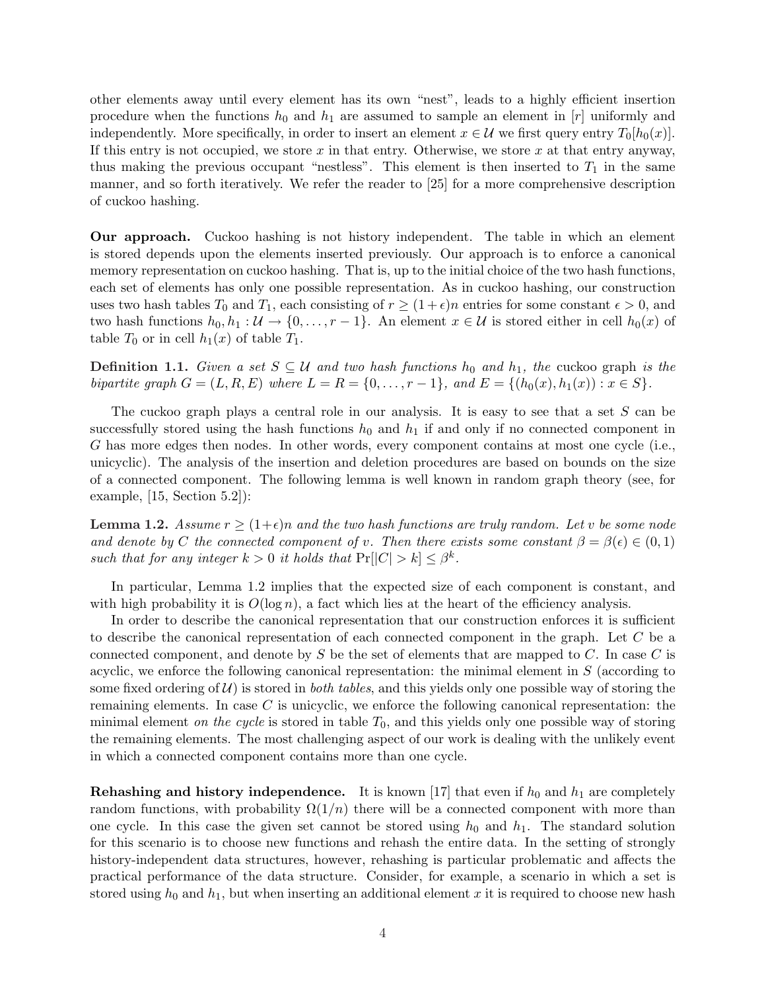other elements away until every element has its own "nest", leads to a highly efficient insertion procedure when the functions  $h_0$  and  $h_1$  are assumed to sample an element in [r] uniformly and independently. More specifically, in order to insert an element  $x \in \mathcal{U}$  we first query entry  $T_0[h_0(x)]$ . If this entry is not occupied, we store  $x$  in that entry. Otherwise, we store  $x$  at that entry anyway, thus making the previous occupant "nestless". This element is then inserted to  $T_1$  in the same manner, and so forth iteratively. We refer the reader to [\[25\]](#page-16-0) for a more comprehensive description of cuckoo hashing.

Our approach. Cuckoo hashing is not history independent. The table in which an element is stored depends upon the elements inserted previously. Our approach is to enforce a canonical memory representation on cuckoo hashing. That is, up to the initial choice of the two hash functions, each set of elements has only one possible representation. As in cuckoo hashing, our construction uses two hash tables  $T_0$  and  $T_1$ , each consisting of  $r \geq (1+\epsilon)n$  entries for some constant  $\epsilon > 0$ , and two hash functions  $h_0, h_1 : U \to \{0, \ldots, r-1\}$ . An element  $x \in U$  is stored either in cell  $h_0(x)$  of table  $T_0$  or in cell  $h_1(x)$  of table  $T_1$ .

**Definition 1.1.** Given a set  $S \subseteq U$  and two hash functions  $h_0$  and  $h_1$ , the cuckoo graph is the bipartite graph  $G = (L, R, E)$  where  $L = R = \{0, \ldots, r - 1\}$ , and  $E = \{(h_0(x), h_1(x)) : x \in S\}$ .

The cuckoo graph plays a central role in our analysis. It is easy to see that a set  $S$  can be successfully stored using the hash functions  $h_0$  and  $h_1$  if and only if no connected component in G has more edges then nodes. In other words, every component contains at most one cycle (i.e., unicyclic). The analysis of the insertion and deletion procedures are based on bounds on the size of a connected component. The following lemma is well known in random graph theory (see, for example, [\[15,](#page-15-9) Section 5.2]):

<span id="page-4-0"></span>**Lemma 1.2.** Assume  $r > (1+\epsilon)n$  and the two hash functions are truly random. Let v be some node and denote by C the connected component of v. Then there exists some constant  $\beta = \beta(\epsilon) \in (0,1)$ such that for any integer  $k > 0$  it holds that  $Pr[|C| > k] \leq \beta^k$ .

In particular, Lemma [1.2](#page-4-0) implies that the expected size of each component is constant, and with high probability it is  $O(\log n)$ , a fact which lies at the heart of the efficiency analysis.

In order to describe the canonical representation that our construction enforces it is sufficient to describe the canonical representation of each connected component in the graph. Let C be a connected component, and denote by  $S$  be the set of elements that are mapped to  $C$ . In case  $C$  is acyclic, we enforce the following canonical representation: the minimal element in  $S$  (according to some fixed ordering of  $\mathcal{U}$ ) is stored in *both tables*, and this yields only one possible way of storing the remaining elements. In case C is unicyclic, we enforce the following canonical representation: the minimal element on the cycle is stored in table  $T_0$ , and this yields only one possible way of storing the remaining elements. The most challenging aspect of our work is dealing with the unlikely event in which a connected component contains more than one cycle.

**Rehashing and history independence.** It is known [\[17\]](#page-16-7) that even if  $h_0$  and  $h_1$  are completely random functions, with probability  $\Omega(1/n)$  there will be a connected component with more than one cycle. In this case the given set cannot be stored using  $h_0$  and  $h_1$ . The standard solution for this scenario is to choose new functions and rehash the entire data. In the setting of strongly history-independent data structures, however, rehashing is particular problematic and affects the practical performance of the data structure. Consider, for example, a scenario in which a set is stored using  $h_0$  and  $h_1$ , but when inserting an additional element x it is required to choose new hash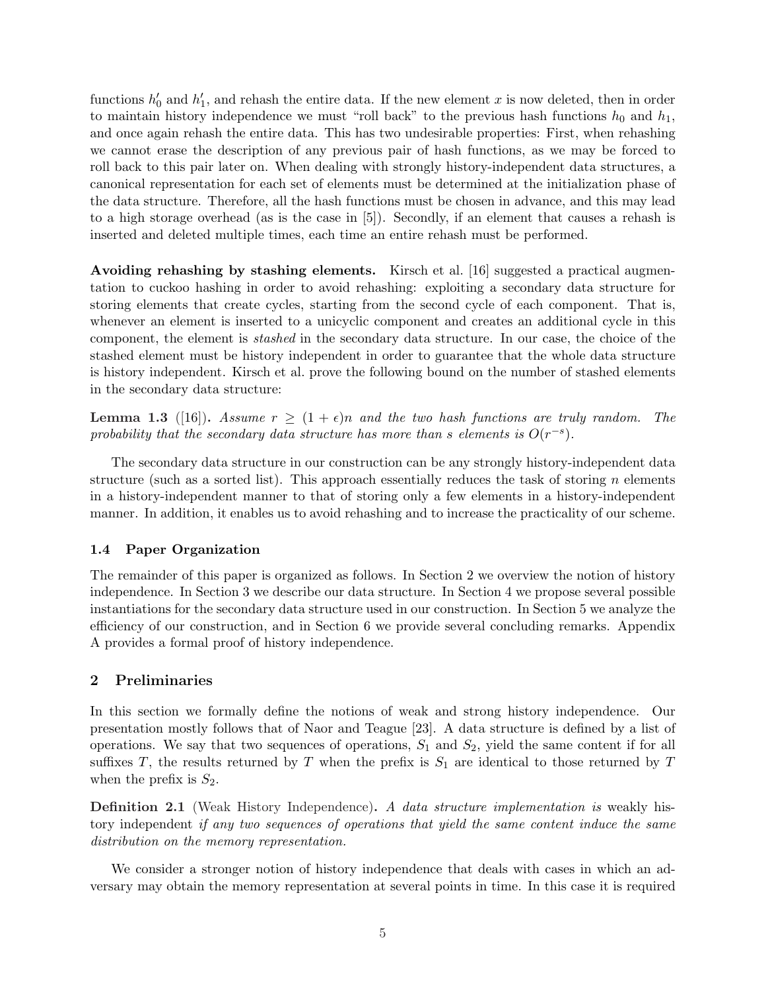functions  $h'_0$  and  $h'_1$ , and rehash the entire data. If the new element x is now deleted, then in order to maintain history independence we must "roll back" to the previous hash functions  $h_0$  and  $h_1$ , and once again rehash the entire data. This has two undesirable properties: First, when rehashing we cannot erase the description of any previous pair of hash functions, as we may be forced to roll back to this pair later on. When dealing with strongly history-independent data structures, a canonical representation for each set of elements must be determined at the initialization phase of the data structure. Therefore, all the hash functions must be chosen in advance, and this may lead to a high storage overhead (as is the case in [\[5\]](#page-15-4)). Secondly, if an element that causes a rehash is inserted and deleted multiple times, each time an entire rehash must be performed.

Avoiding rehashing by stashing elements. Kirsch et al. [\[16\]](#page-15-10) suggested a practical augmentation to cuckoo hashing in order to avoid rehashing: exploiting a secondary data structure for storing elements that create cycles, starting from the second cycle of each component. That is, whenever an element is inserted to a unicyclic component and creates an additional cycle in this component, the element is stashed in the secondary data structure. In our case, the choice of the stashed element must be history independent in order to guarantee that the whole data structure is history independent. Kirsch et al. prove the following bound on the number of stashed elements in the secondary data structure:

<span id="page-5-1"></span>**Lemma 1.3** ([\[16\]](#page-15-10)). Assume  $r \geq (1 + \epsilon)n$  and the two hash functions are truly random. The probability that the secondary data structure has more than s elements is  $O(r^{-s})$ .

The secondary data structure in our construction can be any strongly history-independent data structure (such as a sorted list). This approach essentially reduces the task of storing n elements in a history-independent manner to that of storing only a few elements in a history-independent manner. In addition, it enables us to avoid rehashing and to increase the practicality of our scheme.

#### 1.4 Paper Organization

The remainder of this paper is organized as follows. In Section [2](#page-5-0) we overview the notion of history independence. In Section [3](#page-6-0) we describe our data structure. In Section [4](#page-13-0) we propose several possible instantiations for the secondary data structure used in our construction. In Section [5](#page-13-1) we analyze the efficiency of our construction, and in Section [6](#page-14-0) we provide several concluding remarks. Appendix [A](#page-16-8) provides a formal proof of history independence.

## <span id="page-5-0"></span>2 Preliminaries

In this section we formally define the notions of weak and strong history independence. Our presentation mostly follows that of Naor and Teague [\[23\]](#page-16-1). A data structure is defined by a list of operations. We say that two sequences of operations,  $S_1$  and  $S_2$ , yield the same content if for all suffixes T, the results returned by T when the prefix is  $S_1$  are identical to those returned by T when the prefix is  $S_2$ .

**Definition 2.1** (Weak History Independence). A data structure implementation is weakly history independent if any two sequences of operations that yield the same content induce the same distribution on the memory representation.

We consider a stronger notion of history independence that deals with cases in which an adversary may obtain the memory representation at several points in time. In this case it is required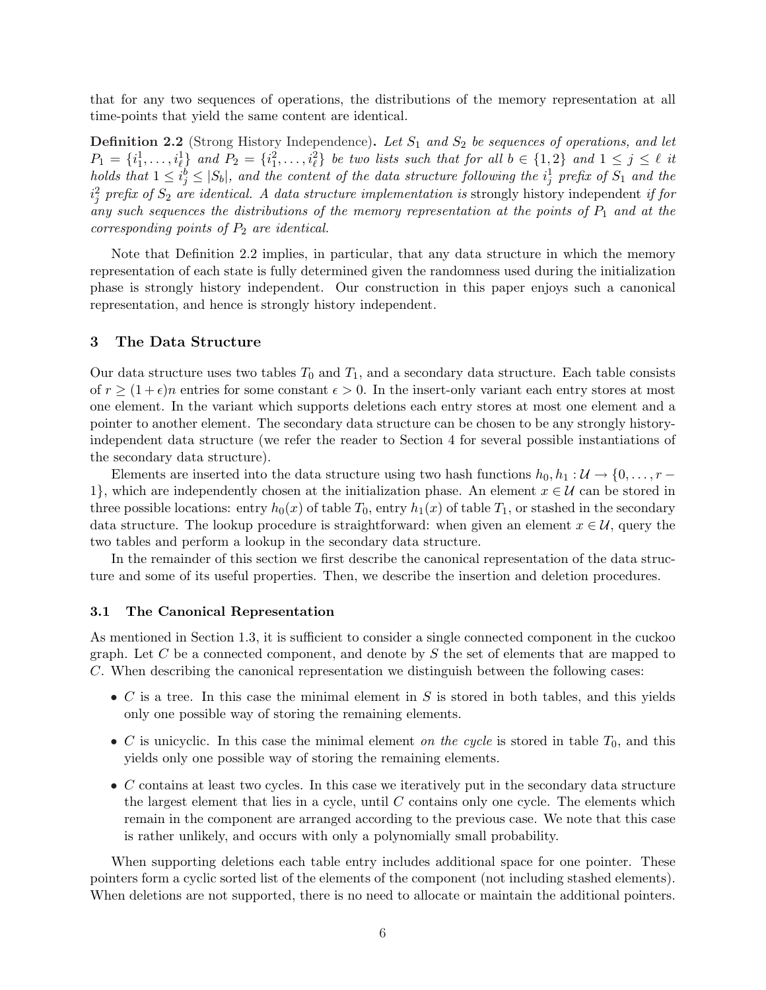that for any two sequences of operations, the distributions of the memory representation at all time-points that yield the same content are identical.

<span id="page-6-1"></span>**Definition 2.2** (Strong History Independence). Let  $S_1$  and  $S_2$  be sequences of operations, and let  $P_1 = \{i_1^1, \ldots, i_\ell^1\}$  and  $P_2 = \{i_1^2, \ldots, i_\ell^2\}$  be two lists such that for all  $b \in \{1,2\}$  and  $1 \le j \le \ell$  it holds that  $1 \leq i_j^b \leq |S_b|$ , and the content of the data structure following the  $i_j^1$  prefix of  $S_1$  and the  $i_j^2$  prefix of  $S_2$  are identical. A data structure implementation is strongly history independent if for any such sequences the distributions of the memory representation at the points of  $P_1$  and at the corresponding points of  $P_2$  are identical.

Note that Definition [2.2](#page-6-1) implies, in particular, that any data structure in which the memory representation of each state is fully determined given the randomness used during the initialization phase is strongly history independent. Our construction in this paper enjoys such a canonical representation, and hence is strongly history independent.

## <span id="page-6-0"></span>3 The Data Structure

Our data structure uses two tables  $T_0$  and  $T_1$ , and a secondary data structure. Each table consists of  $r \geq (1+\epsilon)n$  entries for some constant  $\epsilon > 0$ . In the insert-only variant each entry stores at most one element. In the variant which supports deletions each entry stores at most one element and a pointer to another element. The secondary data structure can be chosen to be any strongly historyindependent data structure (we refer the reader to Section [4](#page-13-0) for several possible instantiations of the secondary data structure).

Elements are inserted into the data structure using two hash functions  $h_0, h_1 : \mathcal{U} \to \{0, \ldots, r -$ 1}, which are independently chosen at the initialization phase. An element  $x \in U$  can be stored in three possible locations: entry  $h_0(x)$  of table  $T_0$ , entry  $h_1(x)$  of table  $T_1$ , or stashed in the secondary data structure. The lookup procedure is straightforward: when given an element  $x \in \mathcal{U}$ , query the two tables and perform a lookup in the secondary data structure.

In the remainder of this section we first describe the canonical representation of the data structure and some of its useful properties. Then, we describe the insertion and deletion procedures.

#### <span id="page-6-2"></span>3.1 The Canonical Representation

As mentioned in Section [1.3,](#page-3-0) it is sufficient to consider a single connected component in the cuckoo graph. Let  $C$  be a connected component, and denote by  $S$  the set of elements that are mapped to C. When describing the canonical representation we distinguish between the following cases:

- $C$  is a tree. In this case the minimal element in  $S$  is stored in both tables, and this yields only one possible way of storing the remaining elements.
- C is unicyclic. In this case the minimal element on the cycle is stored in table  $T_0$ , and this yields only one possible way of storing the remaining elements.
- $\bullet$  C contains at least two cycles. In this case we iteratively put in the secondary data structure the largest element that lies in a cycle, until  $C$  contains only one cycle. The elements which remain in the component are arranged according to the previous case. We note that this case is rather unlikely, and occurs with only a polynomially small probability.

When supporting deletions each table entry includes additional space for one pointer. These pointers form a cyclic sorted list of the elements of the component (not including stashed elements). When deletions are not supported, there is no need to allocate or maintain the additional pointers.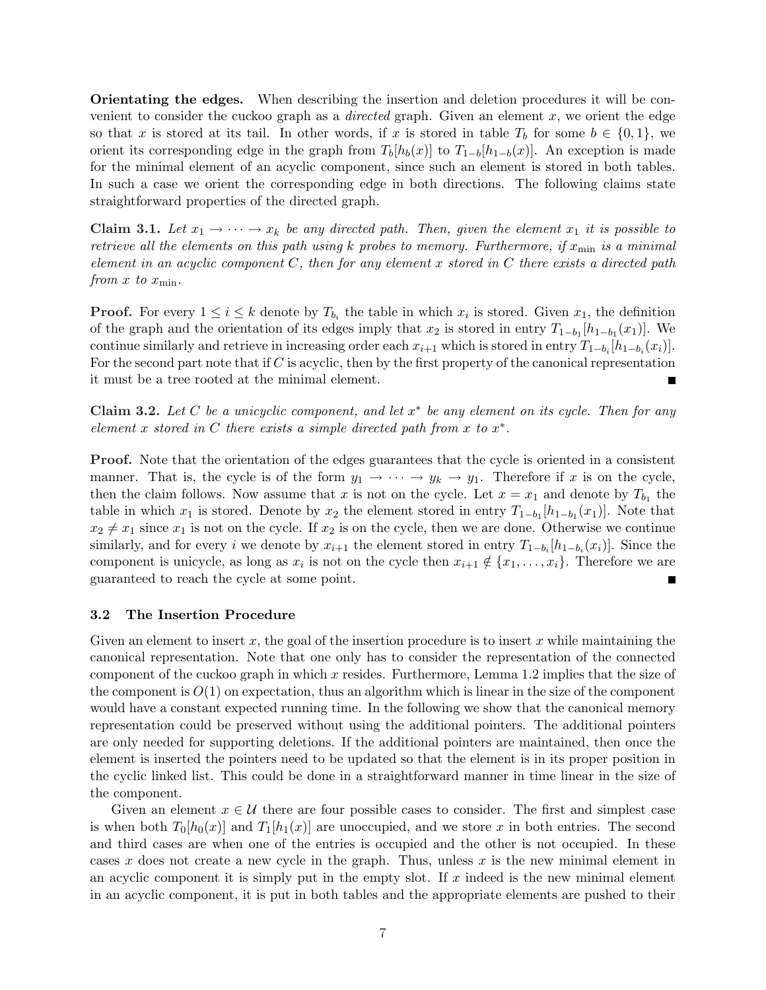Orientating the edges. When describing the insertion and deletion procedures it will be convenient to consider the cuckoo graph as a *directed* graph. Given an element  $x$ , we orient the edge so that x is stored at its tail. In other words, if x is stored in table  $T_b$  for some  $b \in \{0,1\}$ , we orient its corresponding edge in the graph from  $T_b[h_b(x)]$  to  $T_{1-b}[h_{1-b}(x)]$ . An exception is made for the minimal element of an acyclic component, since such an element is stored in both tables. In such a case we orient the corresponding edge in both directions. The following claims state straightforward properties of the directed graph.

<span id="page-7-0"></span>Claim 3.1. Let  $x_1 \rightarrow \cdots \rightarrow x_k$  be any directed path. Then, given the element  $x_1$  it is possible to retrieve all the elements on this path using k probes to memory. Furthermore, if  $x_{\min}$  is a minimal element in an acyclic component  $C$ , then for any element x stored in  $C$  there exists a directed path from x to  $x_{\min}$ .

**Proof.** For every  $1 \leq i \leq k$  denote by  $T_{b_i}$  the table in which  $x_i$  is stored. Given  $x_1$ , the definition of the graph and the orientation of its edges imply that  $x_2$  is stored in entry  $T_{1-b_1}[h_{1-b_1}(x_1)]$ . We continue similarly and retrieve in increasing order each  $x_{i+1}$  which is stored in entry  $T_{1-b_i}[h_{1-b_i}(x_i)].$ For the second part note that if  $C$  is acyclic, then by the first property of the canonical representation it must be a tree rooted at the minimal element.

<span id="page-7-1"></span>Claim 3.2. Let C be a unicyclic component, and let  $x^*$  be any element on its cycle. Then for any element x stored in C there exists a simple directed path from x to  $x^*$ .

Proof. Note that the orientation of the edges guarantees that the cycle is oriented in a consistent manner. That is, the cycle is of the form  $y_1 \rightarrow \cdots \rightarrow y_k \rightarrow y_1$ . Therefore if x is on the cycle, then the claim follows. Now assume that x is not on the cycle. Let  $x = x_1$  and denote by  $T_{b_1}$  the table in which  $x_1$  is stored. Denote by  $x_2$  the element stored in entry  $T_{1-b_1}[h_{1-b_1}(x_1)]$ . Note that  $x_2 \neq x_1$  since  $x_1$  is not on the cycle. If  $x_2$  is on the cycle, then we are done. Otherwise we continue similarly, and for every i we denote by  $x_{i+1}$  the element stored in entry  $T_{1-b_i}[h_{1-b_i}(x_i)]$ . Since the component is unicycle, as long as  $x_i$  is not on the cycle then  $x_{i+1} \notin \{x_1, \ldots, x_i\}$ . Therefore we are guaranteed to reach the cycle at some point.

#### 3.2 The Insertion Procedure

Given an element to insert  $x$ , the goal of the insertion procedure is to insert  $x$  while maintaining the canonical representation. Note that one only has to consider the representation of the connected component of the cuckoo graph in which x resides. Furthermore, Lemma [1.2](#page-4-0) implies that the size of the component is  $O(1)$  on expectation, thus an algorithm which is linear in the size of the component would have a constant expected running time. In the following we show that the canonical memory representation could be preserved without using the additional pointers. The additional pointers are only needed for supporting deletions. If the additional pointers are maintained, then once the element is inserted the pointers need to be updated so that the element is in its proper position in the cyclic linked list. This could be done in a straightforward manner in time linear in the size of the component.

Given an element  $x \in U$  there are four possible cases to consider. The first and simplest case is when both  $T_0[h_0(x)]$  and  $T_1[h_1(x)]$  are unoccupied, and we store x in both entries. The second and third cases are when one of the entries is occupied and the other is not occupied. In these cases x does not create a new cycle in the graph. Thus, unless x is the new minimal element in an acyclic component it is simply put in the empty slot. If  $x$  indeed is the new minimal element in an acyclic component, it is put in both tables and the appropriate elements are pushed to their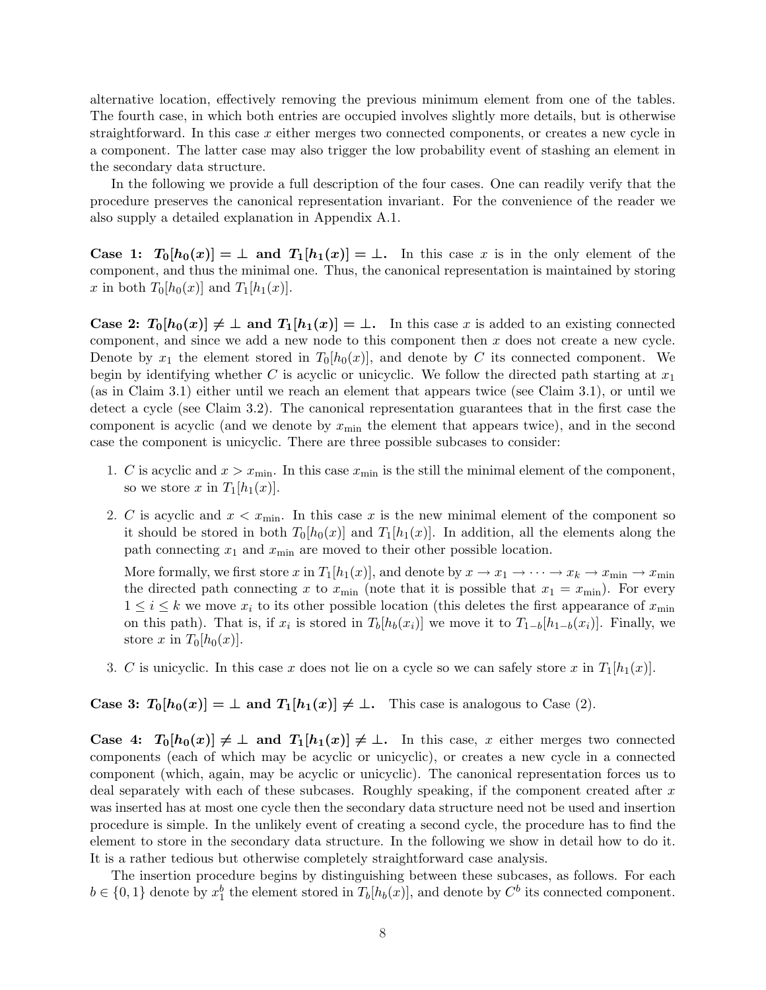alternative location, effectively removing the previous minimum element from one of the tables. The fourth case, in which both entries are occupied involves slightly more details, but is otherwise straightforward. In this case  $x$  either merges two connected components, or creates a new cycle in a component. The latter case may also trigger the low probability event of stashing an element in the secondary data structure.

In the following we provide a full description of the four cases. One can readily verify that the procedure preserves the canonical representation invariant. For the convenience of the reader we also supply a detailed explanation in Appendix [A.1.](#page-17-0)

Case 1:  $T_0[h_0(x)] = \perp$  and  $T_1[h_1(x)] = \perp$ . In this case x is in the only element of the component, and thus the minimal one. Thus, the canonical representation is maintained by storing x in both  $T_0[h_0(x)]$  and  $T_1[h_1(x)]$ .

Case 2:  $T_0[h_0(x)] \neq \perp$  and  $T_1[h_1(x)] = \perp$ . In this case x is added to an existing connected component, and since we add a new node to this component then x does not create a new cycle. Denote by  $x_1$  the element stored in  $T_0[h_0(x)]$ , and denote by C its connected component. We begin by identifying whether C is acyclic or unicyclic. We follow the directed path starting at  $x_1$ (as in Claim [3.1\)](#page-7-0) either until we reach an element that appears twice (see Claim [3.1\)](#page-7-0), or until we detect a cycle (see Claim [3.2\)](#page-7-1). The canonical representation guarantees that in the first case the component is acyclic (and we denote by  $x_{\min}$  the element that appears twice), and in the second case the component is unicyclic. There are three possible subcases to consider:

- 1. C is acyclic and  $x > x_{\text{min}}$ . In this case  $x_{\text{min}}$  is the still the minimal element of the component, so we store x in  $T_1[h_1(x)]$ .
- 2. C is acyclic and  $x < x_{\min}$ . In this case x is the new minimal element of the component so it should be stored in both  $T_0[h_0(x)]$  and  $T_1[h_1(x)]$ . In addition, all the elements along the path connecting  $x_1$  and  $x_{\min}$  are moved to their other possible location.

More formally, we first store x in  $T_1[h_1(x)]$ , and denote by  $x \to x_1 \to \cdots \to x_k \to x_{\min} \to x_{\min}$ the directed path connecting x to  $x_{\min}$  (note that it is possible that  $x_1 = x_{\min}$ ). For every  $1 \leq i \leq k$  we move  $x_i$  to its other possible location (this deletes the first appearance of  $x_{\min}$ ) on this path). That is, if  $x_i$  is stored in  $T_b[h_b(x_i)]$  we move it to  $T_{1-b}[h_{1-b}(x_i)]$ . Finally, we store x in  $T_0[h_0(x)]$ .

3. C is unicyclic. In this case x does not lie on a cycle so we can safely store x in  $T_1[h_1(x)]$ .

Case 3:  $T_0[h_0(x)] = \perp$  and  $T_1[h_1(x)] \neq \perp$ . This case is analogous to Case (2).

Case 4:  $T_0[h_0(x)] \neq \perp$  and  $T_1[h_1(x)] \neq \perp$ . In this case, x either merges two connected components (each of which may be acyclic or unicyclic), or creates a new cycle in a connected component (which, again, may be acyclic or unicyclic). The canonical representation forces us to deal separately with each of these subcases. Roughly speaking, if the component created after x was inserted has at most one cycle then the secondary data structure need not be used and insertion procedure is simple. In the unlikely event of creating a second cycle, the procedure has to find the element to store in the secondary data structure. In the following we show in detail how to do it. It is a rather tedious but otherwise completely straightforward case analysis.

The insertion procedure begins by distinguishing between these subcases, as follows. For each  $b \in \{0,1\}$  denote by  $x_1^b$  the element stored in  $T_b[h_b(x)]$ , and denote by  $C^b$  its connected component.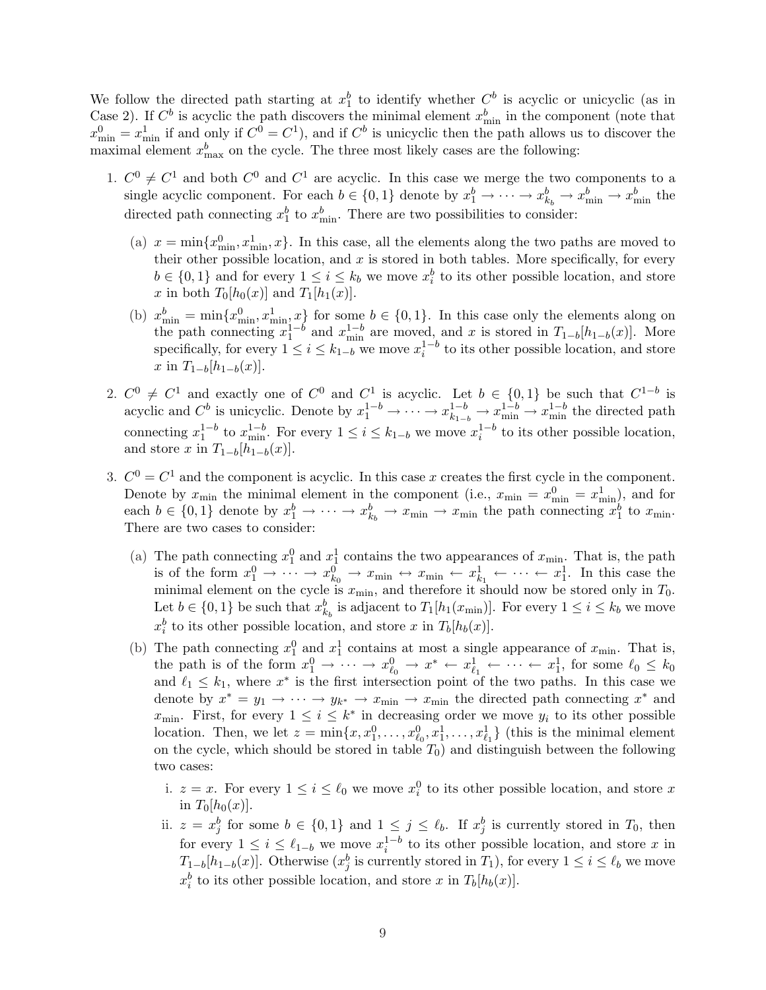We follow the directed path starting at  $x_1^b$  to identify whether  $C^b$  is acyclic or unicyclic (as in Case 2). If  $C^b$  is acyclic the path discovers the minimal element  $x_{\min}^b$  in the component (note that  $x_{\min}^0 = x_{\min}^1$  if and only if  $C^0 = C^1$ ), and if  $C^b$  is unicyclic then the path allows us to discover the maximal element  $x_{\text{max}}^b$  on the cycle. The three most likely cases are the following:

- 1.  $C^0 \neq C^1$  and both  $C^0$  and  $C^1$  are acyclic. In this case we merge the two components to a single acyclic component. For each  $b \in \{0,1\}$  denote by  $x_1^b \to \cdots \to x_{k_b}^b \to x_{\min}^b \to x_{\min}^b$  the directed path connecting  $x_1^b$  to  $x_{\min}^b$ . There are two possibilities to consider:
	- (a)  $x = \min\{x_{\min}^0, x_{\min}^1, x\}$ . In this case, all the elements along the two paths are moved to their other possible location, and  $x$  is stored in both tables. More specifically, for every  $b \in \{0,1\}$  and for every  $1 \leq i \leq k_b$  we move  $x_i^b$  to its other possible location, and store x in both  $T_0[h_0(x)]$  and  $T_1[h_1(x)]$ .
	- (b)  $x_{\min}^b = \min\{x_{\min}^0, x_{\min}^1, x\}$  for some  $b \in \{0, 1\}$ . In this case only the elements along on the path connecting  $x_1^{1-b}$  and  $x_{\min}^{1-b}$  are moved, and x is stored in  $T_{1-b}[h_{1-b}(x)]$ . More specifically, for every  $1 \leq i \leq k_{1-b}$  we move  $x_i^{1-b}$  to its other possible location, and store x in  $T_{1-b}[h_{1-b}(x)].$
- 2.  $C^0 \neq C^1$  and exactly one of  $C^0$  and  $C^1$  is acyclic. Let  $b \in \{0,1\}$  be such that  $C^{1-b}$  is acyclic and  $C^b$  is unicyclic. Denote by  $x_1^{1-b} \to \cdots \to x_{k_{1-b}}^{1-b} \to x_{\min}^{1-b} \to x_{\min}^{1-b}$  the directed path connecting  $x_1^{1-b}$  to  $x_{\min}^{1-b}$ . For every  $1 \le i \le k_{1-b}$  we move  $x_i^{1-b}$  to its other possible location, and store x in  $T_{1-b}[h_{1-b}(x)].$
- 3.  $C^0 = C^1$  and the component is acyclic. In this case x creates the first cycle in the component. Denote by  $x_{\min}$  the minimal element in the component (i.e.,  $x_{\min} = x_{\min}^0 = x_{\min}^1$ ), and for each  $b \in \{0,1\}$  denote by  $x_1^b \to \cdots \to x_{k_b}^b \to x_{\min} \to x_{\min}$  the path connecting  $x_1^b$  to  $x_{\min}$ . There are two cases to consider:
	- (a) The path connecting  $x_1^0$  and  $x_1^1$  contains the two appearances of  $x_{\min}$ . That is, the path is of the form  $x_1^0 \to \cdots \to x_{k_0}^0 \to x_{\min} \leftrightarrow x_{\min} \leftarrow x_{k_1}^1 \leftarrow \cdots \leftarrow x_1^1$ . In this case the minimal element on the cycle is  $x_{\min}$ , and therefore it should now be stored only in  $T_0$ . Let  $b \in \{0,1\}$  be such that  $x_{k_b}^b$  is adjacent to  $T_1[h_1(x_{\min})]$ . For every  $1 \leq i \leq k_b$  we move  $x_i^b$  to its other possible location, and store x in  $T_b[h_b(x)]$ .
	- (b) The path connecting  $x_1^0$  and  $x_1^1$  contains at most a single appearance of  $x_{\min}$ . That is, the path is of the form  $x_1^0 \to \cdots \to x_{\ell_0}^0 \to x^* \leftarrow x_{\ell_1}^1 \leftarrow \cdots \leftarrow x_1^1$ , for some  $\ell_0 \leq k_0$ and  $\ell_1 \leq k_1$ , where  $x^*$  is the first intersection point of the two paths. In this case we denote by  $x^* = y_1 \rightarrow \cdots \rightarrow y_{k^*} \rightarrow x_{\text{min}} \rightarrow x_{\text{min}}$  the directed path connecting  $x^*$  and  $x_{\min}$ . First, for every  $1 \leq i \leq k^*$  in decreasing order we move  $y_i$  to its other possible location. Then, we let  $z = \min\{x, x_1^0, \ldots, x_{\ell_0}^0, x_1^1, \ldots, x_{\ell_1}^1\}$  (this is the minimal element on the cycle, which should be stored in table  $T_0$ ) and distinguish between the following two cases:
		- i.  $z = x$ . For every  $1 \leq i \leq \ell_0$  we move  $x_i^0$  to its other possible location, and store x in  $T_0[h_0(x)]$ .
		- ii.  $z = x_j^b$  for some  $b \in \{0,1\}$  and  $1 \leq j \leq \ell_b$ . If  $x_j^b$  is currently stored in  $T_0$ , then for every  $1 \leq i \leq \ell_{1-b}$  we move  $x_i^{1-b}$  to its other possible location, and store x in  $T_{1-b}[h_{1-b}(x)]$ . Otherwise  $(x_j^b)$  is currently stored in  $T_1$ ), for every  $1 \leq i \leq \ell_b$  we move  $x_i^b$  to its other possible location, and store x in  $T_b[h_b(x)]$ .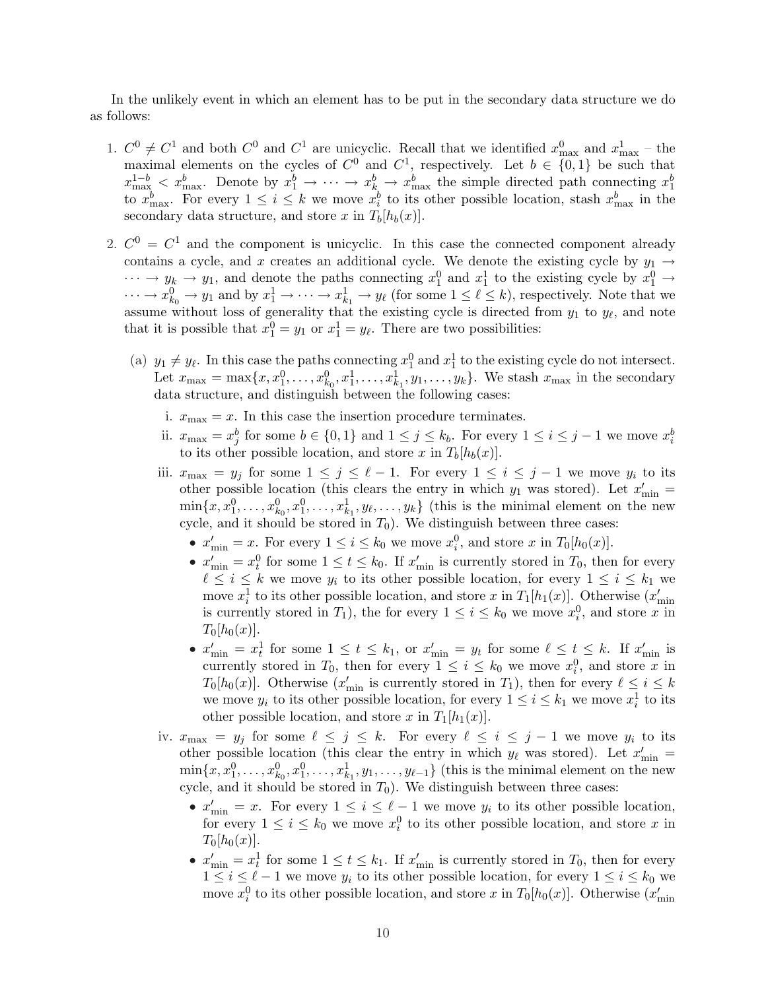In the unlikely event in which an element has to be put in the secondary data structure we do as follows:

- 1.  $C^0 \neq C^1$  and both  $C^0$  and  $C^1$  are unicyclic. Recall that we identified  $x_{\text{max}}^0$  and  $x_{\text{max}}^1$  the maximal elements on the cycles of  $C^0$  and  $C^1$ , respectively. Let  $b \in \{0,1\}$  be such that  $x_{\max}^{1-b} < x_{\max}^b$ . Denote by  $x_1^b \to \cdots \to x_k^b \to x_{\max}^b$  the simple directed path connecting  $x_1^b$ to  $x_{\text{max}}^b$ . For every  $1 \leq i \leq k$  we move  $x_i^b$  to its other possible location, stash  $x_{\text{max}}^b$  in the secondary data structure, and store x in  $T_b[h_b(x)]$ .
- 2.  $C^0 = C^1$  and the component is unicyclic. In this case the connected component already contains a cycle, and x creates an additional cycle. We denote the existing cycle by  $y_1 \rightarrow$  $\cdots \rightarrow y_k \rightarrow y_1$ , and denote the paths connecting  $x_1^0$  and  $x_1^1$  to the existing cycle by  $x_1^0 \rightarrow$  $\cdots \to x_{k_0}^0 \to y_1$  and by  $x_1^1 \to \cdots \to x_{k_1}^1 \to y_\ell$  (for some  $1 \leq \ell \leq k$ ), respectively. Note that we assume without loss of generality that the existing cycle is directed from  $y_1$  to  $y_\ell$ , and note that it is possible that  $x_1^0 = y_1$  or  $x_1^1 = y_\ell$ . There are two possibilities:
	- (a)  $y_1 \neq y_\ell$ . In this case the paths connecting  $x_1^0$  and  $x_1^1$  to the existing cycle do not intersect. Let  $x_{\max} = \max\{x, x_1^0, \dots, x_{k_0}^0, x_1^1, \dots, x_{k_1}^1, y_1, \dots, y_k\}$ . We stash  $x_{\max}$  in the secondary data structure, and distinguish between the following cases:
		- i.  $x_{\text{max}} = x$ . In this case the insertion procedure terminates.
		- ii.  $x_{\text{max}} = x_j^b$  for some  $b \in \{0, 1\}$  and  $1 \le j \le k_b$ . For every  $1 \le i \le j 1$  we move  $x_i^b$ to its other possible location, and store x in  $T_b[h_b(x)]$ .
		- iii.  $x_{\text{max}} = y_j$  for some  $1 \leq j \leq \ell 1$ . For every  $1 \leq i \leq j 1$  we move  $y_i$  to its other possible location (this clears the entry in which  $y_1$  was stored). Let  $x'_{\text{min}} =$  $\min\{x, x_1^0, \ldots, x_{k_0}^0, x_1^0, \ldots, x_{k_1}^1, y_{\ell}, \ldots, y_k\}$  (this is the minimal element on the new cycle, and it should be stored in  $T_0$ ). We distinguish between three cases:
			- $x'_{\text{min}} = x$ . For every  $1 \le i \le k_0$  we move  $x_i^0$ , and store x in  $T_0[h_0(x)]$ .
			- $x'_{\text{min}} = x_t^0$  for some  $1 \le t \le k_0$ . If  $x'_{\text{min}}$  is currently stored in  $T_0$ , then for every  $\ell \leq i \leq k$  we move  $y_i$  to its other possible location, for every  $1 \leq i \leq k_1$  we move  $x_i^1$  to its other possible location, and store x in  $T_1[h_1(x)]$ . Otherwise  $(x'_{\min})$ is currently stored in  $T_1$ ), the for every  $1 \leq i \leq k_0$  we move  $x_i^0$ , and store x in  $T_0[h_0(x)]$ .
			- $x'_{\text{min}} = x_t^1$  for some  $1 \le t \le k_1$ , or  $x'_{\text{min}} = y_t$  for some  $\ell \le t \le k$ . If  $x'_{\text{min}}$  is currently stored in  $T_0$ , then for every  $1 \leq i \leq k_0$  we move  $x_i^0$ , and store x in  $T_0[h_0(x)]$ . Otherwise  $(x'_{\min}$  is currently stored in  $T_1$ ), then for every  $\ell \leq i \leq k$ we move  $y_i$  to its other possible location, for every  $1 \leq i \leq k_1$  we move  $x_i^1$  to its other possible location, and store x in  $T_1[h_1(x)]$ .
		- iv.  $x_{\text{max}} = y_j$  for some  $\ell \leq j \leq k$ . For every  $\ell \leq i \leq j 1$  we move  $y_i$  to its other possible location (this clear the entry in which  $y_\ell$  was stored). Let  $x'_{\text{min}} =$  $\min\{x, x_1^0, \ldots, x_{k_0}^0, x_1^0, \ldots, x_{k_1}^1, y_1, \ldots, y_{\ell-1}\}\$  (this is the minimal element on the new cycle, and it should be stored in  $T_0$ ). We distinguish between three cases:
			- $x'_{\text{min}} = x$ . For every  $1 \leq i \leq \ell 1$  we move  $y_i$  to its other possible location, for every  $1 \leq i \leq k_0$  we move  $x_i^0$  to its other possible location, and store x in  $T_0[h_0(x)]$ .
			- $x'_{\text{min}} = x_t^1$  for some  $1 \le t \le k_1$ . If  $x'_{\text{min}}$  is currently stored in  $T_0$ , then for every  $1 \leq i \leq \ell - 1$  we move  $y_i$  to its other possible location, for every  $1 \leq i \leq k_0$  we move  $x_i^0$  to its other possible location, and store x in  $T_0[h_0(x)]$ . Otherwise  $(x'_{\min})$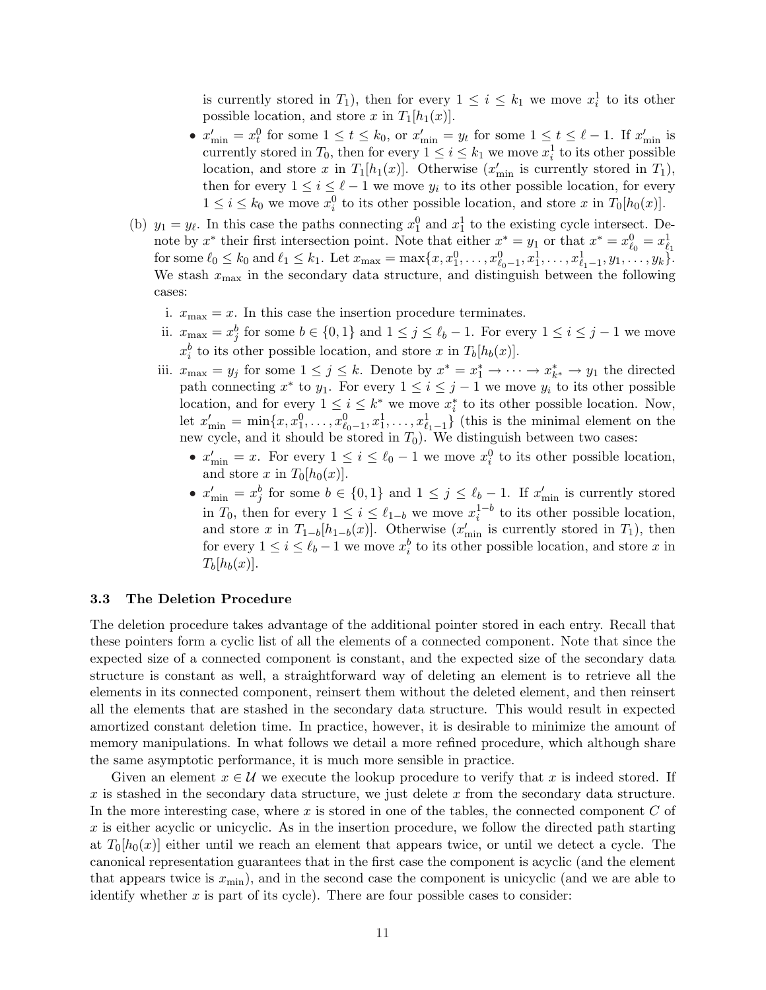is currently stored in  $T_1$ ), then for every  $1 \leq i \leq k_1$  we move  $x_i^1$  to its other possible location, and store x in  $T_1[h_1(x)]$ .

- $x'_{\text{min}} = x_t^0$  for some  $1 \le t \le k_0$ , or  $x'_{\text{min}} = y_t$  for some  $1 \le t \le \ell 1$ . If  $x'_{\text{min}}$  is currently stored in  $T_0$ , then for every  $1 \leq i \leq k_1$  we move  $x_i^1$  to its other possible location, and store x in  $T_1[h_1(x)]$ . Otherwise  $(x'_{\text{min}}$  is currently stored in  $T_1$ ), then for every  $1 \leq i \leq \ell - 1$  we move  $y_i$  to its other possible location, for every  $1 \leq i \leq k_0$  we move  $x_i^0$  to its other possible location, and store x in  $T_0[h_0(x)]$ .
- (b)  $y_1 = y_\ell$ . In this case the paths connecting  $x_1^0$  and  $x_1^1$  to the existing cycle intersect. Denote by  $x^*$  their first intersection point. Note that either  $x^* = y_1$  or that  $x^* = x_{\ell_0}^0 = x_{\ell_1}^1$ for some  $\ell_0 \le k_0$  and  $\ell_1 \le k_1$ . Let  $x_{\max} = \max\{x, x_1^0, \ldots, x_{\ell_0-1}^0, x_1^1, \ldots, x_{\ell_1-1}^1, y_1, \ldots, y_k\}.$ We stash  $x_{\text{max}}$  in the secondary data structure, and distinguish between the following cases:
	- i.  $x_{\text{max}} = x$ . In this case the insertion procedure terminates.
	- ii.  $x_{\text{max}} = x_j^b$  for some  $b \in \{0, 1\}$  and  $1 \le j \le \ell_b 1$ . For every  $1 \le i \le j 1$  we move  $x_i^b$  to its other possible location, and store x in  $T_b[h_b(x)]$ .
	- iii.  $x_{\text{max}} = y_j$  for some  $1 \leq j \leq k$ . Denote by  $x^* = x_1^* \to \cdots \to x_{k^*}^* \to y_1$  the directed path connecting  $x^*$  to  $y_1$ . For every  $1 \leq i \leq j-1$  we move  $y_i$  to its other possible location, and for every  $1 \leq i \leq k^*$  we move  $x_i^*$  to its other possible location. Now, let  $x'_{\min} = \min\{x, x_1^0, \dots, x_{\ell_0-1}^0, x_1^1, \dots, x_{\ell_1-1}^1\}$  (this is the minimal element on the new cycle, and it should be stored in  $T_0$ ). We distinguish between two cases:
		- $x'_{\text{min}} = x$ . For every  $1 \leq i \leq \ell_0 1$  we move  $x_i^0$  to its other possible location, and store x in  $T_0[h_0(x)]$ .
		- $x'_{\text{min}} = x_j^b$  for some  $b \in \{0,1\}$  and  $1 \le j \le \ell_b 1$ . If  $x'_{\text{min}}$  is currently stored in  $T_0$ , then for every  $1 \leq i \leq \ell_{1-b}$  we move  $x_i^{1-b}$  to its other possible location, and store x in  $T_{1-b}[h_{1-b}(x)]$ . Otherwise  $(x'_{\min})$  is currently stored in  $T_1$ ), then for every  $1 \leq i \leq \ell_b - 1$  we move  $x_i^b$  to its other possible location, and store x in  $T_b[h_b(x)]$ .

#### 3.3 The Deletion Procedure

The deletion procedure takes advantage of the additional pointer stored in each entry. Recall that these pointers form a cyclic list of all the elements of a connected component. Note that since the expected size of a connected component is constant, and the expected size of the secondary data structure is constant as well, a straightforward way of deleting an element is to retrieve all the elements in its connected component, reinsert them without the deleted element, and then reinsert all the elements that are stashed in the secondary data structure. This would result in expected amortized constant deletion time. In practice, however, it is desirable to minimize the amount of memory manipulations. In what follows we detail a more refined procedure, which although share the same asymptotic performance, it is much more sensible in practice.

Given an element  $x \in \mathcal{U}$  we execute the lookup procedure to verify that x is indeed stored. If x is stashed in the secondary data structure, we just delete x from the secondary data structure. In the more interesting case, where  $x$  is stored in one of the tables, the connected component  $C$  of  $x$  is either acyclic or unicyclic. As in the insertion procedure, we follow the directed path starting at  $T_0[h_0(x)]$  either until we reach an element that appears twice, or until we detect a cycle. The canonical representation guarantees that in the first case the component is acyclic (and the element that appears twice is  $x_{\text{min}}$ ), and in the second case the component is unicyclic (and we are able to identify whether  $x$  is part of its cycle). There are four possible cases to consider: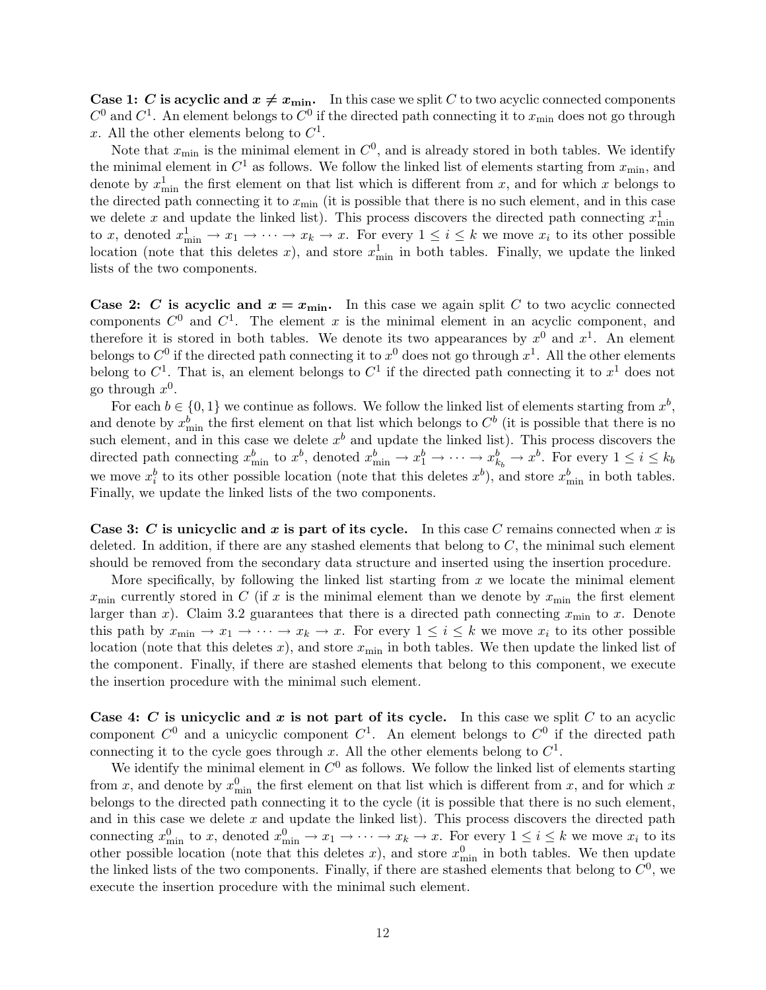Case 1: C is acyclic and  $x \neq x_{\min}$ . In this case we split C to two acyclic connected components  $C^0$  and  $C^1$ . An element belongs to  $C^0$  if the directed path connecting it to  $x_{\text{min}}$  does not go through x. All the other elements belong to  $C^1$ .

Note that  $x_{\text{min}}$  is the minimal element in  $C^0$ , and is already stored in both tables. We identify the minimal element in  $C^1$  as follows. We follow the linked list of elements starting from  $x_{\min}$ , and denote by  $x_{\min}^1$  the first element on that list which is different from x, and for which x belongs to the directed path connecting it to  $x_{\text{min}}$  (it is possible that there is no such element, and in this case we delete x and update the linked list). This process discovers the directed path connecting  $x_{\min}^1$ to x, denoted  $x_{\min}^1 \to x_1 \to \cdots \to x_k \to x$ . For every  $1 \leq i \leq k$  we move  $x_i$  to its other possible location (note that this deletes x), and store  $x_{\min}^1$  in both tables. Finally, we update the linked lists of the two components.

Case 2: C is acyclic and  $x = x_{\min}$ . In this case we again split C to two acyclic connected components  $C^0$  and  $C^1$ . The element x is the minimal element in an acyclic component, and therefore it is stored in both tables. We denote its two appearances by  $x^0$  and  $x^1$ . An element belongs to  $C^0$  if the directed path connecting it to  $x^0$  does not go through  $x^1$ . All the other elements belong to  $C^1$ . That is, an element belongs to  $C^1$  if the directed path connecting it to  $x^1$  does not go through  $x^0$ .

For each  $b \in \{0,1\}$  we continue as follows. We follow the linked list of elements starting from  $x^b$ , and denote by  $x_{\min}^b$  the first element on that list which belongs to  $C^b$  (it is possible that there is no such element, and in this case we delete  $x^b$  and update the linked list). This process discovers the directed path connecting  $x_{\min}^b$  to  $x^b$ , denoted  $x_{\min}^b \to x_1^b \to \cdots \to x_{k_b}^b \to x^b$ . For every  $1 \le i \le k_b$ we move  $x_i^b$  to its other possible location (note that this deletes  $x^b$ ), and store  $x_{\min}^b$  in both tables. Finally, we update the linked lists of the two components.

Case 3: C is unicyclic and x is part of its cycle. In this case C remains connected when x is deleted. In addition, if there are any stashed elements that belong to  $C$ , the minimal such element should be removed from the secondary data structure and inserted using the insertion procedure.

More specifically, by following the linked list starting from  $x$  we locate the minimal element  $x_{\text{min}}$  currently stored in C (if x is the minimal element than we denote by  $x_{\text{min}}$  the first element larger than x). Claim [3.2](#page-7-1) guarantees that there is a directed path connecting  $x_{\text{min}}$  to x. Denote this path by  $x_{\min} \to x_1 \to \cdots \to x_k \to x$ . For every  $1 \leq i \leq k$  we move  $x_i$  to its other possible location (note that this deletes  $x$ ), and store  $x_{\min}$  in both tables. We then update the linked list of the component. Finally, if there are stashed elements that belong to this component, we execute the insertion procedure with the minimal such element.

Case 4: C is unicyclic and x is not part of its cycle. In this case we split C to an acyclic component  $C^0$  and a unicyclic component  $C^1$ . An element belongs to  $C^0$  if the directed path connecting it to the cycle goes through x. All the other elements belong to  $C^1$ .

We identify the minimal element in  $C^0$  as follows. We follow the linked list of elements starting from x, and denote by  $x_{\min}^0$  the first element on that list which is different from x, and for which x belongs to the directed path connecting it to the cycle (it is possible that there is no such element, and in this case we delete  $x$  and update the linked list). This process discovers the directed path connecting  $x_{\min}^0$  to x, denoted  $x_{\min}^0 \to x_1 \to \cdots \to x_k \to x$ . For every  $1 \leq i \leq k$  we move  $x_i$  to its other possible location (note that this deletes x), and store  $x_{\min}^0$  in both tables. We then update the linked lists of the two components. Finally, if there are stashed elements that belong to  $C^0$ , we execute the insertion procedure with the minimal such element.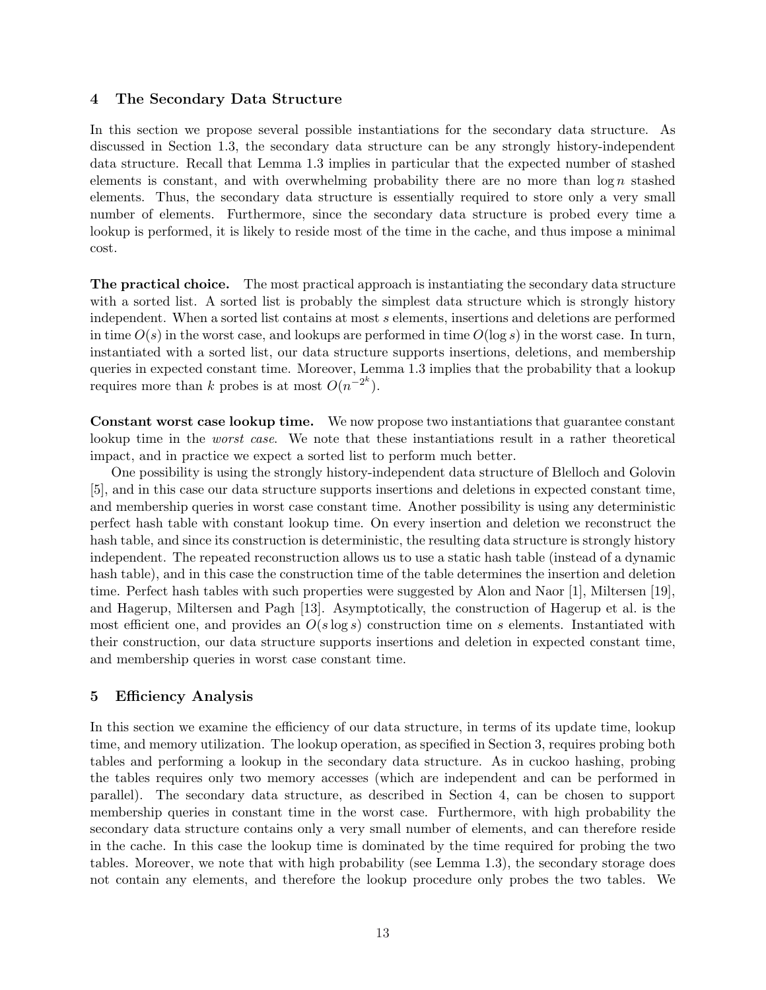## <span id="page-13-0"></span>4 The Secondary Data Structure

In this section we propose several possible instantiations for the secondary data structure. As discussed in Section [1.3,](#page-3-0) the secondary data structure can be any strongly history-independent data structure. Recall that Lemma [1.3](#page-5-1) implies in particular that the expected number of stashed elements is constant, and with overwhelming probability there are no more than  $\log n$  stashed elements. Thus, the secondary data structure is essentially required to store only a very small number of elements. Furthermore, since the secondary data structure is probed every time a lookup is performed, it is likely to reside most of the time in the cache, and thus impose a minimal cost.

The practical choice. The most practical approach is instantiating the secondary data structure with a sorted list. A sorted list is probably the simplest data structure which is strongly history independent. When a sorted list contains at most s elements, insertions and deletions are performed in time  $O(s)$  in the worst case, and lookups are performed in time  $O(\log s)$  in the worst case. In turn, instantiated with a sorted list, our data structure supports insertions, deletions, and membership queries in expected constant time. Moreover, Lemma [1.3](#page-5-1) implies that the probability that a lookup requires more than k probes is at most  $O(n^{-2^k})$ .

Constant worst case lookup time. We now propose two instantiations that guarantee constant lookup time in the *worst case*. We note that these instantiations result in a rather theoretical impact, and in practice we expect a sorted list to perform much better.

One possibility is using the strongly history-independent data structure of Blelloch and Golovin [\[5\]](#page-15-4), and in this case our data structure supports insertions and deletions in expected constant time, and membership queries in worst case constant time. Another possibility is using any deterministic perfect hash table with constant lookup time. On every insertion and deletion we reconstruct the hash table, and since its construction is deterministic, the resulting data structure is strongly history independent. The repeated reconstruction allows us to use a static hash table (instead of a dynamic hash table), and in this case the construction time of the table determines the insertion and deletion time. Perfect hash tables with such properties were suggested by Alon and Naor [\[1\]](#page-15-11), Miltersen [\[19\]](#page-16-9), and Hagerup, Miltersen and Pagh [\[13\]](#page-15-12). Asymptotically, the construction of Hagerup et al. is the most efficient one, and provides an  $O(s \log s)$  construction time on s elements. Instantiated with their construction, our data structure supports insertions and deletion in expected constant time, and membership queries in worst case constant time.

#### <span id="page-13-1"></span>5 Efficiency Analysis

In this section we examine the efficiency of our data structure, in terms of its update time, lookup time, and memory utilization. The lookup operation, as specified in Section [3,](#page-6-0) requires probing both tables and performing a lookup in the secondary data structure. As in cuckoo hashing, probing the tables requires only two memory accesses (which are independent and can be performed in parallel). The secondary data structure, as described in Section [4,](#page-13-0) can be chosen to support membership queries in constant time in the worst case. Furthermore, with high probability the secondary data structure contains only a very small number of elements, and can therefore reside in the cache. In this case the lookup time is dominated by the time required for probing the two tables. Moreover, we note that with high probability (see Lemma [1.3\)](#page-5-1), the secondary storage does not contain any elements, and therefore the lookup procedure only probes the two tables. We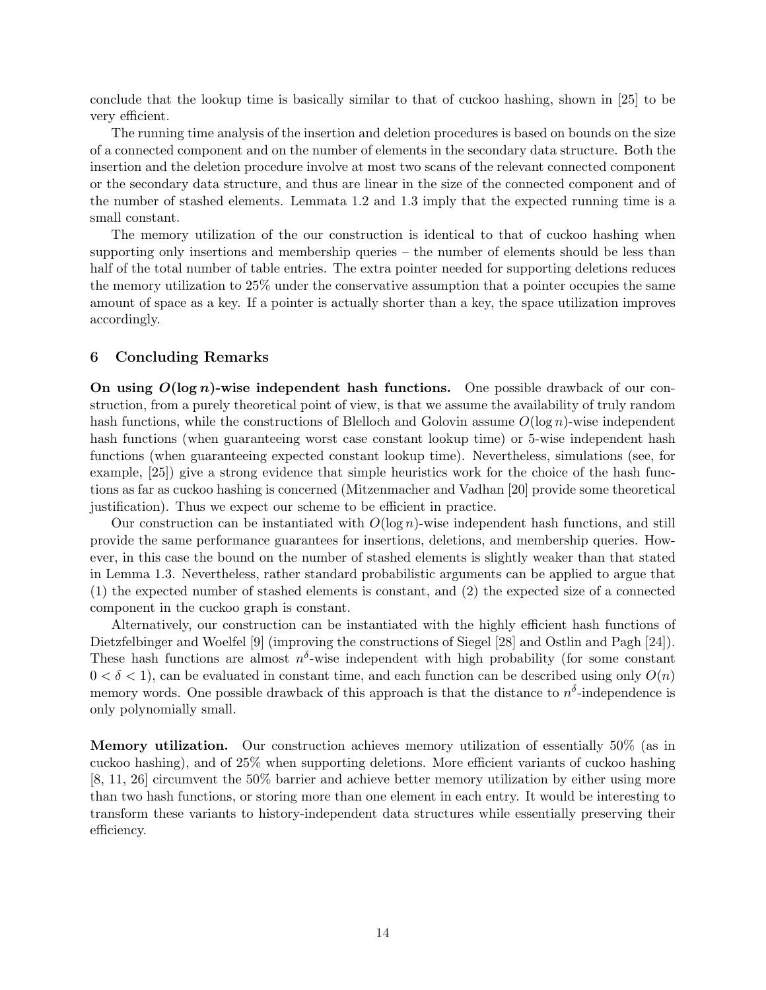conclude that the lookup time is basically similar to that of cuckoo hashing, shown in [\[25\]](#page-16-0) to be very efficient.

The running time analysis of the insertion and deletion procedures is based on bounds on the size of a connected component and on the number of elements in the secondary data structure. Both the insertion and the deletion procedure involve at most two scans of the relevant connected component or the secondary data structure, and thus are linear in the size of the connected component and of the number of stashed elements. Lemmata [1.2](#page-4-0) and [1.3](#page-5-1) imply that the expected running time is a small constant.

The memory utilization of the our construction is identical to that of cuckoo hashing when supporting only insertions and membership queries – the number of elements should be less than half of the total number of table entries. The extra pointer needed for supporting deletions reduces the memory utilization to 25% under the conservative assumption that a pointer occupies the same amount of space as a key. If a pointer is actually shorter than a key, the space utilization improves accordingly.

## <span id="page-14-0"></span>6 Concluding Remarks

On using  $O(\log n)$ -wise independent hash functions. One possible drawback of our construction, from a purely theoretical point of view, is that we assume the availability of truly random hash functions, while the constructions of Blelloch and Golovin assume  $O(\log n)$ -wise independent hash functions (when guaranteeing worst case constant lookup time) or 5-wise independent hash functions (when guaranteeing expected constant lookup time). Nevertheless, simulations (see, for example, [\[25\]](#page-16-0)) give a strong evidence that simple heuristics work for the choice of the hash functions as far as cuckoo hashing is concerned (Mitzenmacher and Vadhan [\[20\]](#page-16-10) provide some theoretical justification). Thus we expect our scheme to be efficient in practice.

Our construction can be instantiated with  $O(\log n)$ -wise independent hash functions, and still provide the same performance guarantees for insertions, deletions, and membership queries. However, in this case the bound on the number of stashed elements is slightly weaker than that stated in Lemma [1.3.](#page-5-1) Nevertheless, rather standard probabilistic arguments can be applied to argue that (1) the expected number of stashed elements is constant, and (2) the expected size of a connected component in the cuckoo graph is constant.

Alternatively, our construction can be instantiated with the highly efficient hash functions of Dietzfelbinger and Woelfel [\[9\]](#page-15-13) (improving the constructions of Siegel [\[28\]](#page-16-11) and Ostlin and Pagh [\[24\]](#page-16-12)). These hash functions are almost  $n^{\delta}$ -wise independent with high probability (for some constant  $0 < \delta < 1$ , can be evaluated in constant time, and each function can be described using only  $O(n)$ memory words. One possible drawback of this approach is that the distance to  $n^{\delta}$ -independence is only polynomially small.

Memory utilization. Our construction achieves memory utilization of essentially 50% (as in cuckoo hashing), and of 25% when supporting deletions. More efficient variants of cuckoo hashing [\[8,](#page-15-14) [11,](#page-15-15) [26\]](#page-16-13) circumvent the 50% barrier and achieve better memory utilization by either using more than two hash functions, or storing more than one element in each entry. It would be interesting to transform these variants to history-independent data structures while essentially preserving their efficiency.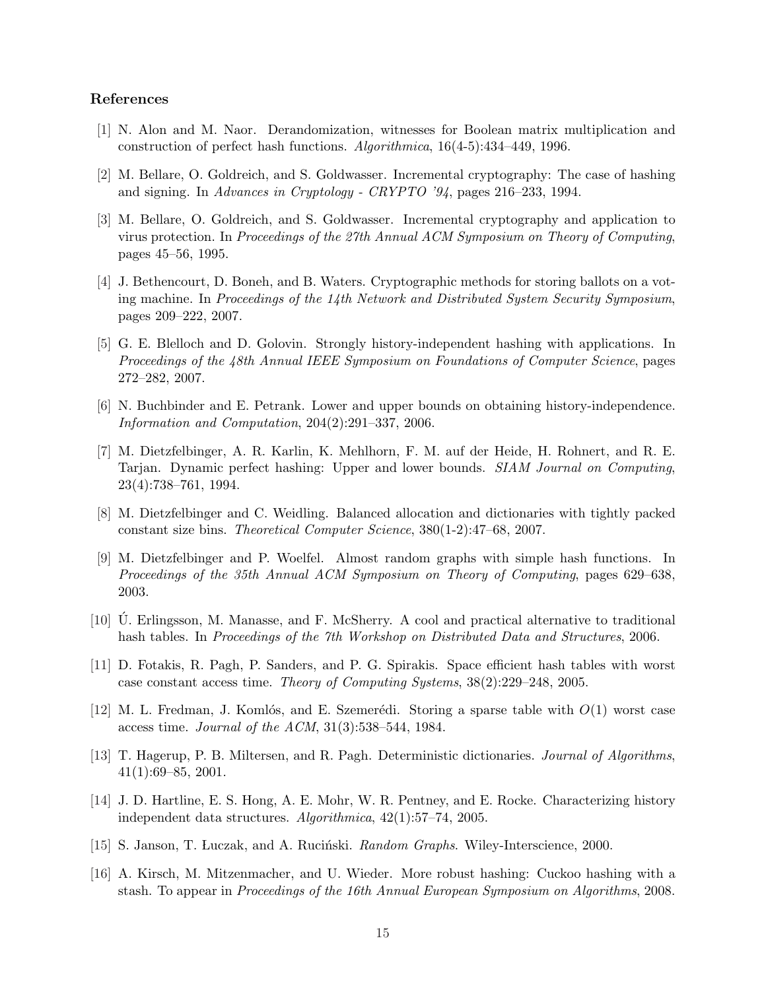## References

- <span id="page-15-11"></span>[1] N. Alon and M. Naor. Derandomization, witnesses for Boolean matrix multiplication and construction of perfect hash functions. Algorithmica, 16(4-5):434–449, 1996.
- <span id="page-15-1"></span>[2] M. Bellare, O. Goldreich, and S. Goldwasser. Incremental cryptography: The case of hashing and signing. In Advances in Cryptology - CRYPTO '94, pages 216–233, 1994.
- <span id="page-15-2"></span>[3] M. Bellare, O. Goldreich, and S. Goldwasser. Incremental cryptography and application to virus protection. In Proceedings of the 27th Annual ACM Symposium on Theory of Computing, pages 45–56, 1995.
- <span id="page-15-3"></span>[4] J. Bethencourt, D. Boneh, and B. Waters. Cryptographic methods for storing ballots on a voting machine. In Proceedings of the 14th Network and Distributed System Security Symposium, pages 209–222, 2007.
- <span id="page-15-4"></span>[5] G. E. Blelloch and D. Golovin. Strongly history-independent hashing with applications. In Proceedings of the 48th Annual IEEE Symposium on Foundations of Computer Science, pages 272–282, 2007.
- <span id="page-15-8"></span>[6] N. Buchbinder and E. Petrank. Lower and upper bounds on obtaining history-independence. Information and Computation, 204(2):291–337, 2006.
- <span id="page-15-7"></span>[7] M. Dietzfelbinger, A. R. Karlin, K. Mehlhorn, F. M. auf der Heide, H. Rohnert, and R. E. Tarjan. Dynamic perfect hashing: Upper and lower bounds. SIAM Journal on Computing, 23(4):738–761, 1994.
- <span id="page-15-14"></span>[8] M. Dietzfelbinger and C. Weidling. Balanced allocation and dictionaries with tightly packed constant size bins. Theoretical Computer Science, 380(1-2):47–68, 2007.
- <span id="page-15-13"></span>[9] M. Dietzfelbinger and P. Woelfel. Almost random graphs with simple hash functions. In Proceedings of the 35th Annual ACM Symposium on Theory of Computing, pages 629–638, 2003.
- <span id="page-15-5"></span>[10] U. Erlingsson, M. Manasse, and F. McSherry. A cool and practical alternative to traditional ´ hash tables. In Proceedings of the 7th Workshop on Distributed Data and Structures, 2006.
- <span id="page-15-15"></span>[11] D. Fotakis, R. Pagh, P. Sanders, and P. G. Spirakis. Space efficient hash tables with worst case constant access time. Theory of Computing Systems, 38(2):229–248, 2005.
- <span id="page-15-6"></span>[12] M. L. Fredman, J. Komlós, and E. Szemerédi. Storing a sparse table with  $O(1)$  worst case access time. Journal of the ACM, 31(3):538–544, 1984.
- <span id="page-15-12"></span>[13] T. Hagerup, P. B. Miltersen, and R. Pagh. Deterministic dictionaries. Journal of Algorithms, 41(1):69–85, 2001.
- <span id="page-15-0"></span>[14] J. D. Hartline, E. S. Hong, A. E. Mohr, W. R. Pentney, and E. Rocke. Characterizing history independent data structures. Algorithmica, 42(1):57–74, 2005.
- <span id="page-15-9"></span>[15] S. Janson, T. Łuczak, and A. Ruciński. *Random Graphs*. Wiley-Interscience, 2000.
- <span id="page-15-10"></span>[16] A. Kirsch, M. Mitzenmacher, and U. Wieder. More robust hashing: Cuckoo hashing with a stash. To appear in Proceedings of the 16th Annual European Symposium on Algorithms, 2008.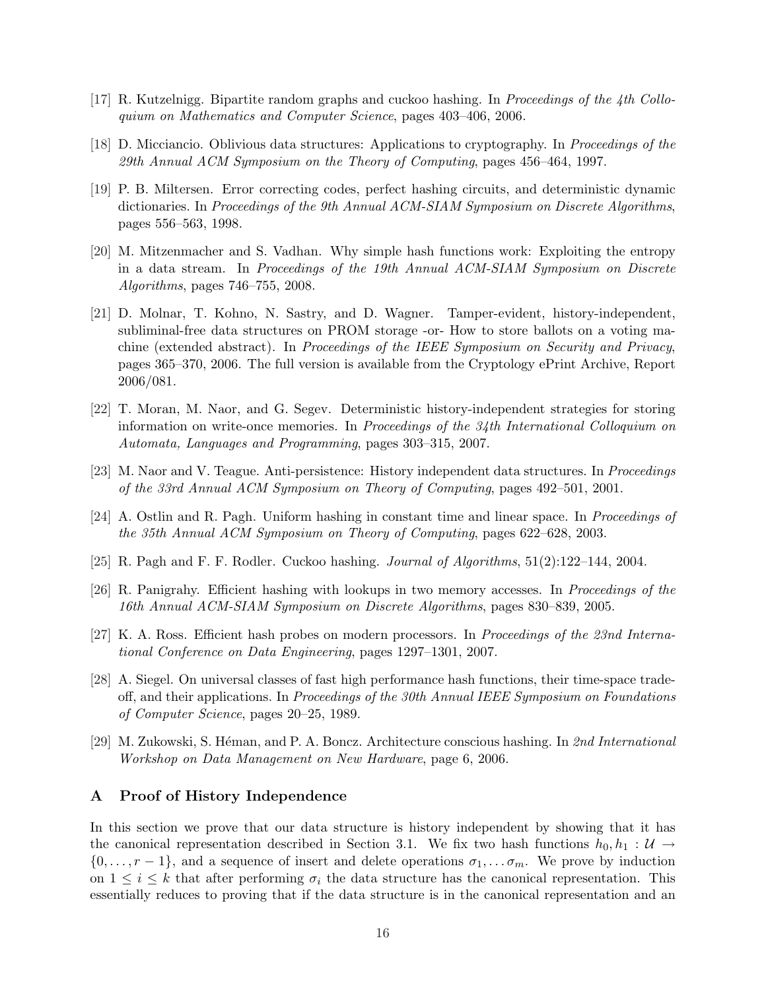- <span id="page-16-7"></span>[17] R. Kutzelnigg. Bipartite random graphs and cuckoo hashing. In Proceedings of the 4th Colloquium on Mathematics and Computer Science, pages 403–406, 2006.
- <span id="page-16-2"></span>[18] D. Micciancio. Oblivious data structures: Applications to cryptography. In Proceedings of the 29th Annual ACM Symposium on the Theory of Computing, pages 456–464, 1997.
- <span id="page-16-9"></span>[19] P. B. Miltersen. Error correcting codes, perfect hashing circuits, and deterministic dynamic dictionaries. In Proceedings of the 9th Annual ACM-SIAM Symposium on Discrete Algorithms. pages 556–563, 1998.
- <span id="page-16-10"></span>[20] M. Mitzenmacher and S. Vadhan. Why simple hash functions work: Exploiting the entropy in a data stream. In Proceedings of the 19th Annual ACM-SIAM Symposium on Discrete Algorithms, pages 746–755, 2008.
- <span id="page-16-3"></span>[21] D. Molnar, T. Kohno, N. Sastry, and D. Wagner. Tamper-evident, history-independent, subliminal-free data structures on PROM storage -or- How to store ballots on a voting machine (extended abstract). In Proceedings of the IEEE Symposium on Security and Privacy, pages 365–370, 2006. The full version is available from the Cryptology ePrint Archive, Report 2006/081.
- <span id="page-16-4"></span>[22] T. Moran, M. Naor, and G. Segev. Deterministic history-independent strategies for storing information on write-once memories. In Proceedings of the 34th International Colloquium on Automata, Languages and Programming, pages 303–315, 2007.
- <span id="page-16-1"></span>[23] M. Naor and V. Teague. Anti-persistence: History independent data structures. In Proceedings of the 33rd Annual ACM Symposium on Theory of Computing, pages 492–501, 2001.
- <span id="page-16-12"></span>[24] A. Ostlin and R. Pagh. Uniform hashing in constant time and linear space. In Proceedings of the 35th Annual ACM Symposium on Theory of Computing, pages 622–628, 2003.
- <span id="page-16-0"></span>[25] R. Pagh and F. F. Rodler. Cuckoo hashing. Journal of Algorithms, 51(2):122–144, 2004.
- <span id="page-16-13"></span>[26] R. Panigrahy. Efficient hashing with lookups in two memory accesses. In Proceedings of the 16th Annual ACM-SIAM Symposium on Discrete Algorithms, pages 830–839, 2005.
- <span id="page-16-5"></span>[27] K. A. Ross. Efficient hash probes on modern processors. In Proceedings of the 23nd International Conference on Data Engineering, pages 1297–1301, 2007.
- <span id="page-16-11"></span>[28] A. Siegel. On universal classes of fast high performance hash functions, their time-space tradeoff, and their applications. In Proceedings of the 30th Annual IEEE Symposium on Foundations of Computer Science, pages 20–25, 1989.
- <span id="page-16-6"></span>[29] M. Zukowski, S. Héman, and P. A. Boncz. Architecture conscious hashing. In 2nd International Workshop on Data Management on New Hardware, page 6, 2006.

## <span id="page-16-8"></span>A Proof of History Independence

In this section we prove that our data structure is history independent by showing that it has the canonical representation described in Section [3.1.](#page-6-2) We fix two hash functions  $h_0, h_1 : U \rightarrow$  $\{0, \ldots, r-1\}$ , and a sequence of insert and delete operations  $\sigma_1, \ldots, \sigma_m$ . We prove by induction on  $1 \leq i \leq k$  that after performing  $\sigma_i$  the data structure has the canonical representation. This essentially reduces to proving that if the data structure is in the canonical representation and an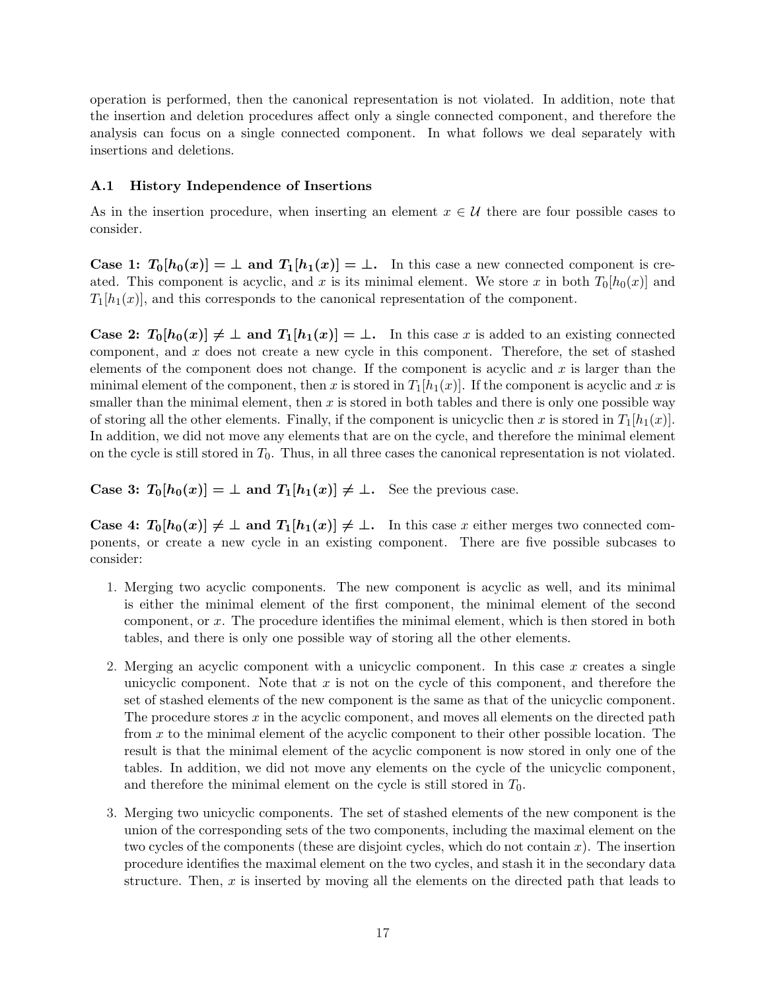operation is performed, then the canonical representation is not violated. In addition, note that the insertion and deletion procedures affect only a single connected component, and therefore the analysis can focus on a single connected component. In what follows we deal separately with insertions and deletions.

## <span id="page-17-0"></span>A.1 History Independence of Insertions

As in the insertion procedure, when inserting an element  $x \in \mathcal{U}$  there are four possible cases to consider.

Case 1:  $T_0[h_0(x)] = \perp$  and  $T_1[h_1(x)] = \perp$ . In this case a new connected component is created. This component is acyclic, and x is its minimal element. We store x in both  $T_0[h_0(x)]$  and  $T_1[h_1(x)]$ , and this corresponds to the canonical representation of the component.

Case 2:  $T_0[h_0(x)] \neq \perp$  and  $T_1[h_1(x)] = \perp$ . In this case x is added to an existing connected component, and x does not create a new cycle in this component. Therefore, the set of stashed elements of the component does not change. If the component is acyclic and  $x$  is larger than the minimal element of the component, then x is stored in  $T_1[h_1(x)]$ . If the component is acyclic and x is smaller than the minimal element, then  $x$  is stored in both tables and there is only one possible way of storing all the other elements. Finally, if the component is unicyclic then x is stored in  $T_1[h_1(x)]$ . In addition, we did not move any elements that are on the cycle, and therefore the minimal element on the cycle is still stored in  $T_0$ . Thus, in all three cases the canonical representation is not violated.

Case 3:  $T_0[h_0(x)] = \perp$  and  $T_1[h_1(x)] \neq \perp$ . See the previous case.

Case 4:  $T_0[h_0(x)] \neq \perp$  and  $T_1[h_1(x)] \neq \perp$ . In this case x either merges two connected components, or create a new cycle in an existing component. There are five possible subcases to consider:

- 1. Merging two acyclic components. The new component is acyclic as well, and its minimal is either the minimal element of the first component, the minimal element of the second component, or x. The procedure identifies the minimal element, which is then stored in both tables, and there is only one possible way of storing all the other elements.
- 2. Merging an acyclic component with a unicyclic component. In this case  $x$  creates a single unicyclic component. Note that  $x$  is not on the cycle of this component, and therefore the set of stashed elements of the new component is the same as that of the unicyclic component. The procedure stores  $x$  in the acyclic component, and moves all elements on the directed path from x to the minimal element of the acyclic component to their other possible location. The result is that the minimal element of the acyclic component is now stored in only one of the tables. In addition, we did not move any elements on the cycle of the unicyclic component, and therefore the minimal element on the cycle is still stored in  $T_0$ .
- 3. Merging two unicyclic components. The set of stashed elements of the new component is the union of the corresponding sets of the two components, including the maximal element on the two cycles of the components (these are disjoint cycles, which do not contain  $x$ ). The insertion procedure identifies the maximal element on the two cycles, and stash it in the secondary data structure. Then,  $x$  is inserted by moving all the elements on the directed path that leads to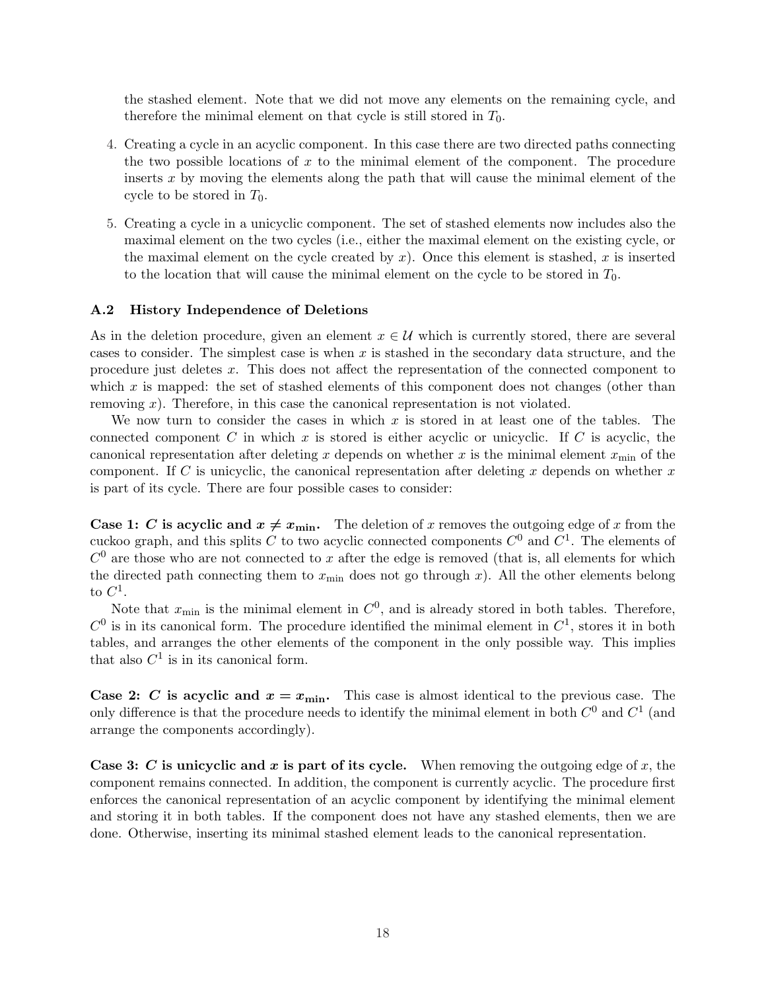the stashed element. Note that we did not move any elements on the remaining cycle, and therefore the minimal element on that cycle is still stored in  $T_0$ .

- 4. Creating a cycle in an acyclic component. In this case there are two directed paths connecting the two possible locations of  $x$  to the minimal element of the component. The procedure inserts x by moving the elements along the path that will cause the minimal element of the cycle to be stored in  $T_0$ .
- 5. Creating a cycle in a unicyclic component. The set of stashed elements now includes also the maximal element on the two cycles (i.e., either the maximal element on the existing cycle, or the maximal element on the cycle created by  $x$ ). Once this element is stashed,  $x$  is inserted to the location that will cause the minimal element on the cycle to be stored in  $T_0$ .

## A.2 History Independence of Deletions

As in the deletion procedure, given an element  $x \in \mathcal{U}$  which is currently stored, there are several cases to consider. The simplest case is when x is stashed in the secondary data structure, and the procedure just deletes x. This does not affect the representation of the connected component to which x is mapped: the set of stashed elements of this component does not changes (other than removing  $x$ ). Therefore, in this case the canonical representation is not violated.

We now turn to consider the cases in which x is stored in at least one of the tables. The connected component C in which x is stored is either acyclic or unicyclic. If C is acyclic, the canonical representation after deleting x depends on whether x is the minimal element  $x_{\min}$  of the component. If  $C$  is unicyclic, the canonical representation after deleting  $x$  depends on whether  $x$ is part of its cycle. There are four possible cases to consider:

Case 1: C is acyclic and  $x \neq x_{\min}$ . The deletion of x removes the outgoing edge of x from the cuckoo graph, and this splits C to two acyclic connected components  $C^0$  and  $C^1$ . The elements of  $C<sup>0</sup>$  are those who are not connected to x after the edge is removed (that is, all elements for which the directed path connecting them to  $x_{\text{min}}$  does not go through x). All the other elements belong to  $C^1$ .

Note that  $x_{\text{min}}$  is the minimal element in  $C^0$ , and is already stored in both tables. Therefore,  $C^0$  is in its canonical form. The procedure identified the minimal element in  $C^1$ , stores it in both tables, and arranges the other elements of the component in the only possible way. This implies that also  $C^1$  is in its canonical form.

Case 2: C is acyclic and  $x = x_{\min}$ . This case is almost identical to the previous case. The only difference is that the procedure needs to identify the minimal element in both  $C^0$  and  $C^1$  (and arrange the components accordingly).

**Case 3:** C is unicyclic and x is part of its cycle. When removing the outgoing edge of x, the component remains connected. In addition, the component is currently acyclic. The procedure first enforces the canonical representation of an acyclic component by identifying the minimal element and storing it in both tables. If the component does not have any stashed elements, then we are done. Otherwise, inserting its minimal stashed element leads to the canonical representation.